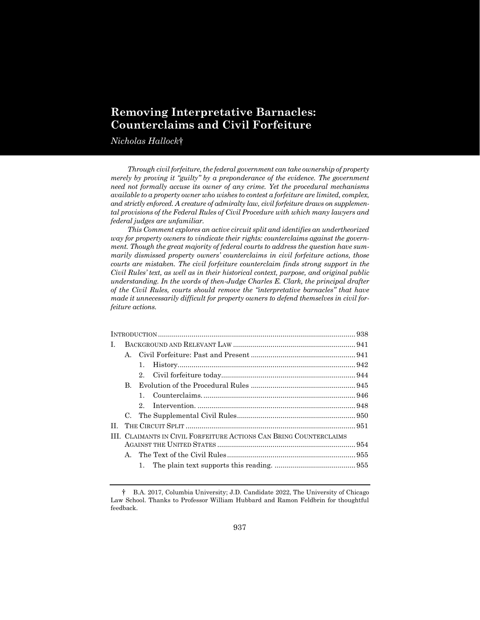# **Removing Interpretative Barnacles: Counterclaims and Civil Forfeiture**

*Nicholas Hallock*†

*Through civil forfeiture, the federal government can take ownership of property merely by proving it "guilty" by a preponderance of the evidence. The government need not formally accuse its owner of any crime. Yet the procedural mechanisms available to a property owner who wishes to contest a forfeiture are limited, complex, and strictly enforced. A creature of admiralty law, civil forfeiture draws on supplemental provisions of the Federal Rules of Civil Procedure with which many lawyers and federal judges are unfamiliar.*

*This Comment explores an active circuit split and identifies an undertheorized way for property owners to vindicate their rights: counterclaims against the government. Though the great majority of federal courts to address the question have summarily dismissed property owners' counterclaims in civil forfeiture actions, those courts are mistaken. The civil forfeiture counterclaim finds strong support in the Civil Rules' text, as well as in their historical context, purpose, and original public understanding. In the words of then-Judge Charles E. Clark, the principal drafter of the Civil Rules, courts should remove the "interpretative barnacles" that have made it unnecessarily difficult for property owners to defend themselves in civil forfeiture actions.*

| L. |                                                                    |             |  |  |  |
|----|--------------------------------------------------------------------|-------------|--|--|--|
|    | $A_{\cdot}$                                                        |             |  |  |  |
|    |                                                                    | 1.          |  |  |  |
|    |                                                                    | $2^{\circ}$ |  |  |  |
|    | B.                                                                 |             |  |  |  |
|    |                                                                    |             |  |  |  |
|    |                                                                    | $2^{\circ}$ |  |  |  |
|    | C.                                                                 |             |  |  |  |
| П. |                                                                    |             |  |  |  |
|    | III. CLAIMANTS IN CIVIL FORFEITURE ACTIONS CAN BRING COUNTERCLAIMS |             |  |  |  |
|    |                                                                    |             |  |  |  |
|    | $\mathbf{A}_{\cdot}$                                               |             |  |  |  |
|    |                                                                    |             |  |  |  |
|    |                                                                    |             |  |  |  |

<sup>†</sup> B.A. 2017, Columbia University; J.D. Candidate 2022, The University of Chicago Law School. Thanks to Professor William Hubbard and Ramon Feldbrin for thoughtful feedback.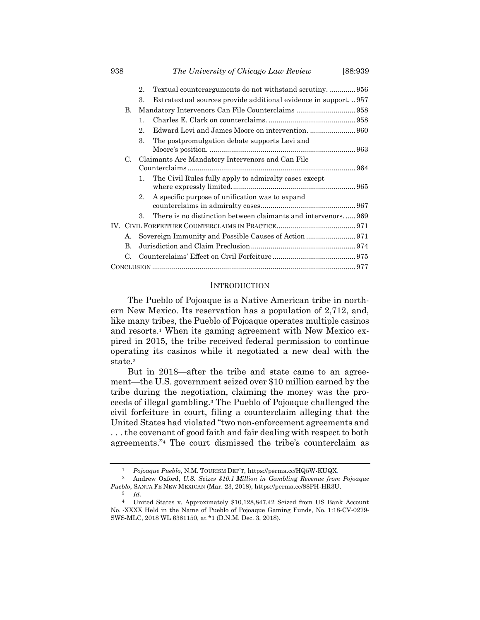|  |          | 2.                                               | Textual counterarguments do not withstand scrutiny.  956       |  |  |  |
|--|----------|--------------------------------------------------|----------------------------------------------------------------|--|--|--|
|  |          | 3.                                               | Extratextual sources provide additional evidence in support957 |  |  |  |
|  | В.       |                                                  |                                                                |  |  |  |
|  |          | $1_{-}$                                          |                                                                |  |  |  |
|  |          | $2$ .                                            |                                                                |  |  |  |
|  |          | 3.                                               | The postpromulgation debate supports Levi and                  |  |  |  |
|  | C.       | Claimants Are Mandatory Intervenors and Can File |                                                                |  |  |  |
|  |          | $1_{-}$                                          | The Civil Rules fully apply to admiralty cases except          |  |  |  |
|  |          | $2_{-}$                                          | A specific purpose of unification was to expand                |  |  |  |
|  |          | 3.                                               | There is no distinction between claimants and intervenors969   |  |  |  |
|  |          |                                                  |                                                                |  |  |  |
|  | А.       |                                                  |                                                                |  |  |  |
|  | $\bf{B}$ |                                                  |                                                                |  |  |  |
|  |          |                                                  |                                                                |  |  |  |
|  |          |                                                  |                                                                |  |  |  |

#### **INTRODUCTION**

The Pueblo of Pojoaque is a Native American tribe in northern New Mexico. Its reservation has a population of 2,712, and, like many tribes, the Pueblo of Pojoaque operates multiple casinos and resorts.<sup>1</sup> When its gaming agreement with New Mexico expired in 2015, the tribe received federal permission to continue operating its casinos while it negotiated a new deal with the state.<sup>2</sup>

But in 2018—after the tribe and state came to an agreement—the U.S. government seized over \$10 million earned by the tribe during the negotiation, claiming the money was the proceeds of illegal gambling.<sup>3</sup> The Pueblo of Pojoaque challenged the civil forfeiture in court, filing a counterclaim alleging that the United States had violated "two non-enforcement agreements and . . . the covenant of good faith and fair dealing with respect to both agreements."<sup>4</sup> The court dismissed the tribe's counterclaim as

<sup>1</sup> *Pojoaque Pueblo*, N.M. TOURISM DEP'T, https://perma.cc/HQ5W-KUQX.

<sup>2</sup> Andrew Oxford, *U.S. Seizes \$10.1 Million in Gambling Revenue from Pojoaque Pueblo*, SANTA FE NEW MEXICAN (Mar. 23, 2018), https://perma.cc/88PH-HR3U.

<sup>3</sup> *Id.*

<sup>4</sup> United States v. Approximately \$10,128,847.42 Seized from US Bank Account No. -XXXX Held in the Name of Pueblo of Pojoaque Gaming Funds, No. 1:18-CV-0279- SWS-MLC, 2018 WL 6381150, at \*1 (D.N.M. Dec. 3, 2018).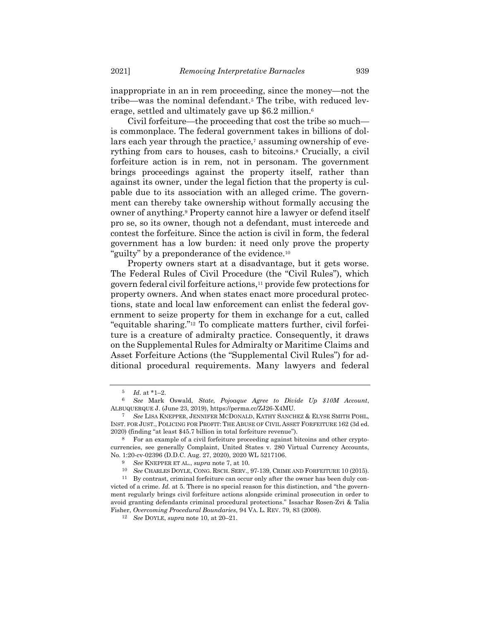inappropriate in an in rem proceeding, since the money—not the tribe—was the nominal defendant.<sup>5</sup> The tribe, with reduced leverage, settled and ultimately gave up \$6.2 million.<sup>6</sup>

<span id="page-2-0"></span>Civil forfeiture—the proceeding that cost the tribe so much is commonplace. The federal government takes in billions of dollars each year through the practice,<sup>7</sup> assuming ownership of everything from cars to houses, cash to bitcoins.<sup>8</sup> Crucially, a civil forfeiture action is in rem, not in personam. The government brings proceedings against the property itself, rather than against its owner, under the legal fiction that the property is culpable due to its association with an alleged crime. The government can thereby take ownership without formally accusing the owner of anything.<sup>9</sup> Property cannot hire a lawyer or defend itself pro se, so its owner, though not a defendant, must intercede and contest the forfeiture. Since the action is civil in form, the federal government has a low burden: it need only prove the property "guilty" by a preponderance of the evidence.<sup>10</sup>

<span id="page-2-1"></span>Property owners start at a disadvantage, but it gets worse. The Federal Rules of Civil Procedure (the "Civil Rules"), which govern federal civil forfeiture actions,<sup>11</sup> provide few protections for property owners. And when states enact more procedural protections, state and local law enforcement can enlist the federal government to seize property for them in exchange for a cut, called "equitable sharing."<sup>12</sup> To complicate matters further, civil forfeiture is a creature of admiralty practice. Consequently, it draws on the Supplemental Rules for Admiralty or Maritime Claims and Asset Forfeiture Actions (the "Supplemental Civil Rules") for additional procedural requirements. Many lawyers and federal

<sup>5</sup> *Id.* at \*1–2.

<sup>6</sup> *See* Mark Oswald, *State, Pojoaque Agree to Divide Up \$10M Account*, ALBUQUERQUE J. (June 23, 2019), https://perma.cc/ZJ26-X4MU.

<sup>7</sup> *See* LISA KNEPPER, JENNIFER MCDONALD, KATHY SANCHEZ & ELYSE SMITH POHL, INST. FOR JUST., POLICING FOR PROFIT: THE ABUSE OF CIVIL ASSET FORFEITURE 162 (3d ed. 2020) (finding "at least \$45.7 billion in total forfeiture revenue").

<sup>8</sup> For an example of a civil forfeiture proceeding against bitcoins and other cryptocurrencies, see generally Complaint, United States v. 280 Virtual Currency Accounts, No. 1:20-cv-02396 (D.D.C. Aug. 27, 2020), 2020 WL 5217106.

<sup>9</sup> *See* KNEPPER ET AL., *supra* note [7,](#page-2-0) at 10.

<sup>10</sup> *See* CHARLES DOYLE, CONG. RSCH. SERV., 97-139, CRIME AND FORFEITURE 10 (2015).

 $^{11}\;$  By contrast, criminal forfeiture can occur only after the owner has been duly convicted of a crime. *Id.* at 5. There is no special reason for this distinction, and "the government regularly brings civil forfeiture actions alongside criminal prosecution in order to avoid granting defendants criminal procedural protections." Issachar Rosen-Zvi & Talia Fisher, *Overcoming Procedural Boundaries*, 94 VA. L. REV. 79, 83 (2008).

<sup>12</sup> *See* DOYLE, *supra* not[e 10,](#page-2-1) at 20–21.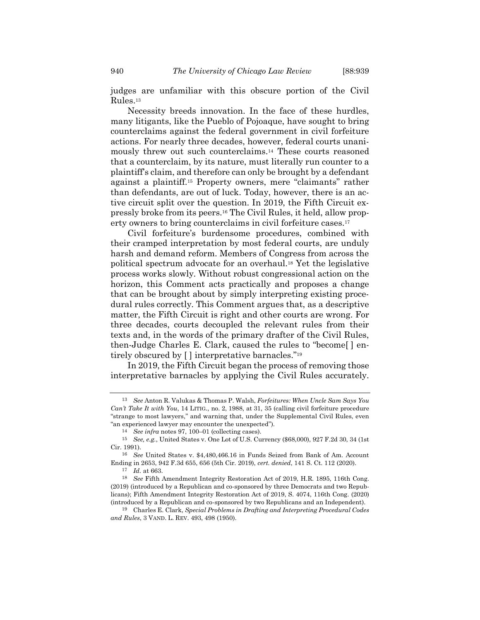<span id="page-3-2"></span>judges are unfamiliar with this obscure portion of the Civil Rules.<sup>13</sup>

Necessity breeds innovation. In the face of these hurdles, many litigants, like the Pueblo of Pojoaque, have sought to bring counterclaims against the federal government in civil forfeiture actions. For nearly three decades, however, federal courts unanimously threw out such counterclaims.<sup>14</sup> These courts reasoned that a counterclaim, by its nature, must literally run counter to a plaintiff's claim, and therefore can only be brought by a defendant against a plaintiff.<sup>15</sup> Property owners, mere "claimants" rather than defendants, are out of luck. Today, however, there is an active circuit split over the question. In 2019, the Fifth Circuit expressly broke from its peers.<sup>16</sup> The Civil Rules, it held, allow property owners to bring counterclaims in civil forfeiture cases.<sup>17</sup>

<span id="page-3-1"></span>Civil forfeiture's burdensome procedures, combined with their cramped interpretation by most federal courts, are unduly harsh and demand reform. Members of Congress from across the political spectrum advocate for an overhaul.<sup>18</sup> Yet the legislative process works slowly. Without robust congressional action on the horizon, this Comment acts practically and proposes a change that can be brought about by simply interpreting existing procedural rules correctly. This Comment argues that, as a descriptive matter, the Fifth Circuit is right and other courts are wrong. For three decades, courts decoupled the relevant rules from their texts and, in the words of the primary drafter of the Civil Rules, then-Judge Charles E. Clark, caused the rules to "become[ ] entirely obscured by [ ] interpretative barnacles."<sup>19</sup>

<span id="page-3-0"></span>In 2019, the Fifth Circuit began the process of removing those interpretative barnacles by applying the Civil Rules accurately.

<sup>13</sup> *See* Anton R. Valukas & Thomas P. Walsh, *Forfeitures: When Uncle Sam Says You Can't Take It with You*, 14 LITIG., no. 2, 1988, at 31, 35 (calling civil forfeiture procedure "strange to most lawyers," and warning that, under the Supplemental Civil Rules, even "an experienced lawyer may encounter the unexpected").

<sup>14</sup> *See infra* note[s 97,](#page-15-0) [100](#page-15-1)–01 (collecting cases).

<sup>15</sup> *See, e.g.*, United States v. One Lot of U.S. Currency (\$68,000), 927 F.2d 30, 34 (1st Cir. 1991).

<sup>16</sup> *See* United States v. \$4,480,466.16 in Funds Seized from Bank of Am. Account Ending in 2653, 942 F.3d 655, 656 (5th Cir. 2019), *cert. denied*, 141 S. Ct. 112 (2020).

<sup>17</sup> *Id.* at 663.

<sup>18</sup> *See* Fifth Amendment Integrity Restoration Act of 2019, H.R. 1895, 116th Cong. (2019) (introduced by a Republican and co-sponsored by three Democrats and two Republicans); Fifth Amendment Integrity Restoration Act of 2019, S. 4074, 116th Cong. (2020) (introduced by a Republican and co-sponsored by two Republicans and an Independent).

<sup>19</sup> Charles E. Clark, *Special Problems in Drafting and Interpreting Procedural Codes and Rules*, 3 VAND. L. REV. 493, 498 (1950).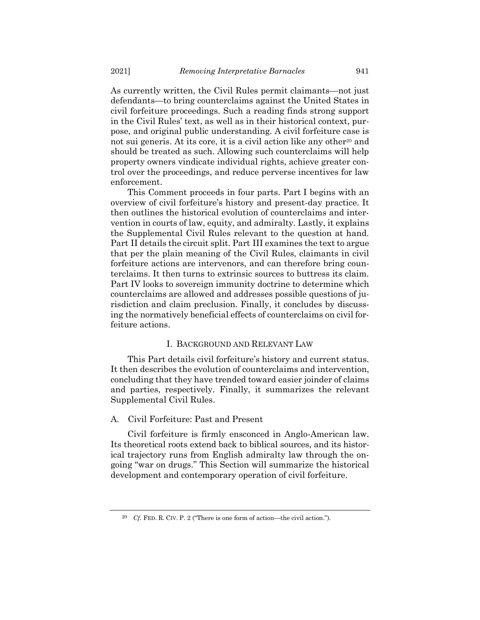As currently written, the Civil Rules permit claimants—not just defendants—to bring counterclaims against the United States in civil forfeiture proceedings. Such a reading finds strong support in the Civil Rules' text, as well as in their historical context, purpose, and original public understanding. A civil forfeiture case is not sui generis. At its core, it is a civil action like any other<sup>20</sup> and should be treated as such. Allowing such counterclaims will help property owners vindicate individual rights, achieve greater control over the proceedings, and reduce perverse incentives for law enforcement.

This Comment proceeds in four parts. Part I begins with an overview of civil forfeiture's history and present-day practice. It then outlines the historical evolution of counterclaims and intervention in courts of law, equity, and admiralty. Lastly, it explains the Supplemental Civil Rules relevant to the question at hand. Part II details the circuit split. Part III examines the text to argue that per the plain meaning of the Civil Rules, claimants in civil forfeiture actions are intervenors, and can therefore bring counterclaims. It then turns to extrinsic sources to buttress its claim. Part IV looks to sovereign immunity doctrine to determine which counterclaims are allowed and addresses possible questions of jurisdiction and claim preclusion. Finally, it concludes by discussing the normatively beneficial effects of counterclaims on civil forfeiture actions.

# I. BACKGROUND AND RELEVANT LAW

This Part details civil forfeiture's history and current status. It then describes the evolution of counterclaims and intervention, concluding that they have trended toward easier joinder of claims and parties, respectively. Finally, it summarizes the relevant Supplemental Civil Rules.

# A. Civil Forfeiture: Past and Present

Civil forfeiture is firmly ensconced in Anglo-American law. Its theoretical roots extend back to biblical sources, and its historical trajectory runs from English admiralty law through the ongoing "war on drugs." This Section will summarize the historical development and contemporary operation of civil forfeiture.

<sup>20</sup> *Cf.* FED. R. CIV. P. 2 ("There is one form of action—the civil action.").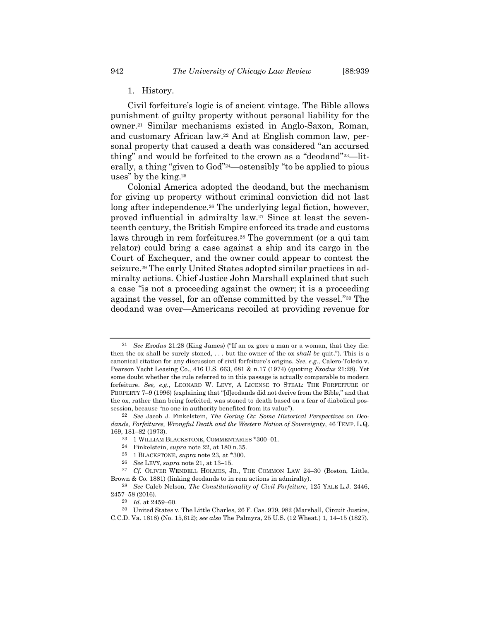<span id="page-5-1"></span><span id="page-5-0"></span>1. History.

<span id="page-5-2"></span>Civil forfeiture's logic is of ancient vintage. The Bible allows punishment of guilty property without personal liability for the owner.<sup>21</sup> Similar mechanisms existed in Anglo-Saxon, Roman, and customary African law.<sup>22</sup> And at English common law, personal property that caused a death was considered "an accursed thing" and would be forfeited to the crown as a "deodand"23—literally, a thing "given to God"24—ostensibly "to be applied to pious uses" by the king.<sup>25</sup>

Colonial America adopted the deodand, but the mechanism for giving up property without criminal conviction did not last long after independence.<sup>26</sup> The underlying legal fiction, however, proved influential in admiralty law.<sup>27</sup> Since at least the seventeenth century, the British Empire enforced its trade and customs laws through in rem forfeitures.<sup>28</sup> The government (or a qui tam relator) could bring a case against a ship and its cargo in the Court of Exchequer, and the owner could appear to contest the seizure.<sup>29</sup> The early United States adopted similar practices in admiralty actions. Chief Justice John Marshall explained that such a case "is not a proceeding against the owner; it is a proceeding against the vessel, for an offense committed by the vessel."<sup>30</sup> The deodand was over—Americans recoiled at providing revenue for

<sup>21</sup> *See Exodus* 21:28 (King James) ("If an ox gore a man or a woman, that they die: then the ox shall be surely stoned, . . . but the owner of the ox *shall be* quit."). This is a canonical citation for any discussion of civil forfeiture's origins. *See, e.g.*, Calero-Toledo v. Pearson Yacht Leasing Co., 416 U.S. 663, 681 & n.17 (1974) (quoting *Exodus* 21:28). Yet some doubt whether the rule referred to in this passage is actually comparable to modern forfeiture. *See, e.g.*, LEONARD W. LEVY, A LICENSE TO STEAL: THE FORFEITURE OF PROPERTY 7–9 (1996) (explaining that "[d]eodands did not derive from the Bible," and that the ox, rather than being forfeited, was stoned to death based on a fear of diabolical possession, because "no one in authority benefited from its value").

<sup>22</sup> *See* Jacob J. Finkelstein, *The Goring Ox: Some Historical Perspectives on Deodands, Forfeitures, Wrongful Death and the Western Notion of Sovereignty*, 46 TEMP. L.Q. 169, 181–82 (1973).

<sup>23</sup> 1 WILLIAM BLACKSTONE, COMMENTARIES \*300–01.

<sup>24</sup> Finkelstein, *supra* not[e 22,](#page-5-0) at 180 n.35.

<sup>25</sup> 1 BLACKSTONE, *supra* not[e 23,](#page-5-1) at \*300.

<sup>26</sup> *See* LEVY, *supra* not[e 21,](#page-5-2) at 13–15.

<sup>&</sup>lt;sup>27</sup> *Cf.* OLIVER WENDELL HOLMES, JR., THE COMMON LAW 24-30 (Boston, Little, Brown & Co. 1881) (linking deodands to in rem actions in admiralty).

<sup>28</sup> *See* Caleb Nelson, *The Constitutionality of Civil Forfeiture*, 125 YALE L.J. 2446, 2457–58 (2016).

<sup>29</sup> *Id.* at 2459–60.

<sup>30</sup> United States v. The Little Charles, 26 F. Cas. 979, 982 (Marshall, Circuit Justice, C.C.D. Va. 1818) (No. 15,612); *see also* The Palmyra, 25 U.S. (12 Wheat.) 1, 14–15 (1827).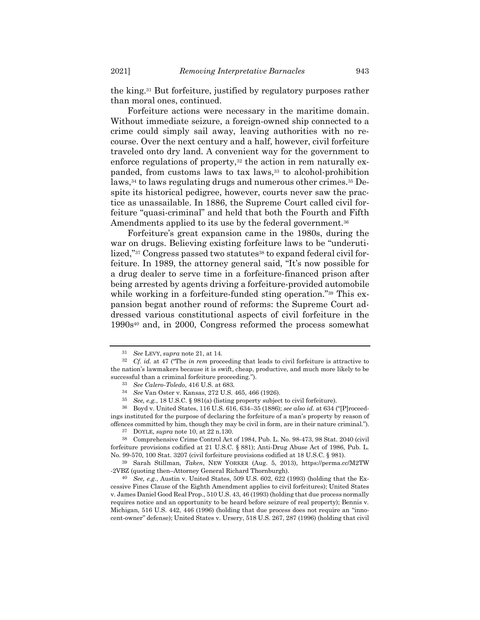the king.<sup>31</sup> But forfeiture, justified by regulatory purposes rather than moral ones, continued.

Forfeiture actions were necessary in the maritime domain. Without immediate seizure, a foreign-owned ship connected to a crime could simply sail away, leaving authorities with no recourse. Over the next century and a half, however, civil forfeiture traveled onto dry land. A convenient way for the government to enforce regulations of property, $32$  the action in rem naturally expanded, from customs laws to tax laws,<sup>33</sup> to alcohol-prohibition laws,<sup>34</sup> to laws regulating drugs and numerous other crimes.<sup>35</sup> Despite its historical pedigree, however, courts never saw the practice as unassailable. In 1886, the Supreme Court called civil forfeiture "quasi-criminal" and held that both the Fourth and Fifth Amendments applied to its use by the federal government.<sup>36</sup>

Forfeiture's great expansion came in the 1980s, during the war on drugs. Believing existing forfeiture laws to be "underutilized,"<sup>37</sup> Congress passed two statutes<sup>38</sup> to expand federal civil forfeiture. In 1989, the attorney general said, "It's now possible for a drug dealer to serve time in a forfeiture-financed prison after being arrested by agents driving a forfeiture-provided automobile while working in a forfeiture-funded sting operation."<sup>39</sup> This expansion begat another round of reforms: the Supreme Court addressed various constitutional aspects of civil forfeiture in the 1990s<sup>40</sup> and, in 2000, Congress reformed the process somewhat

36 Boyd v. United States, 116 U.S. 616, 634–35 (1886); *see also id.* at 634 ("[P]roceedings instituted for the purpose of declaring the forfeiture of a man's property by reason of offences committed by him, though they may be civil in form, are in their nature criminal.").

<sup>31</sup> *See* LEVY, *supra* not[e 21,](#page-5-2) at 14.

<sup>32</sup> *Cf. id.* at 47 ("The *in rem* proceeding that leads to civil forfeiture is attractive to the nation's lawmakers because it is swift, cheap, productive, and much more likely to be successful than a criminal forfeiture proceeding.").

<sup>33</sup> *See Calero-Toledo*, 416 U.S. at 683.

<sup>34</sup> *See* Van Oster v. Kansas, 272 U.S. 465, 466 (1926).

See, e.g., 18 U.S.C. § 981(a) (listing property subject to civil forfeiture).

<sup>37</sup> DOYLE, *supra* note [10,](#page-2-1) at 22 n.130.

<sup>38</sup> Comprehensive Crime Control Act of 1984, Pub. L. No. 98-473, 98 Stat. 2040 (civil forfeiture provisions codified at 21 U.S.C. § 881); Anti-Drug Abuse Act of 1986, Pub. L. No. 99-570, 100 Stat. 3207 (civil forfeiture provisions codified at 18 U.S.C. § 981).

<sup>39</sup> Sarah Stillman, *Taken*, NEW YORKER (Aug. 5, 2013), https://perma.cc/M2TW -2VBZ (quoting then–Attorney General Richard Thornburgh).

<sup>40</sup> *See, e.g.*, Austin v. United States, 509 U.S. 602, 622 (1993) (holding that the Excessive Fines Clause of the Eighth Amendment applies to civil forfeitures); United States v. James Daniel Good Real Prop., 510 U.S. 43, 46 (1993) (holding that due process normally requires notice and an opportunity to be heard before seizure of real property); Bennis v. Michigan, 516 U.S. 442, 446 (1996) (holding that due process does not require an "innocent-owner" defense); United States v. Ursery, 518 U.S. 267, 287 (1996) (holding that civil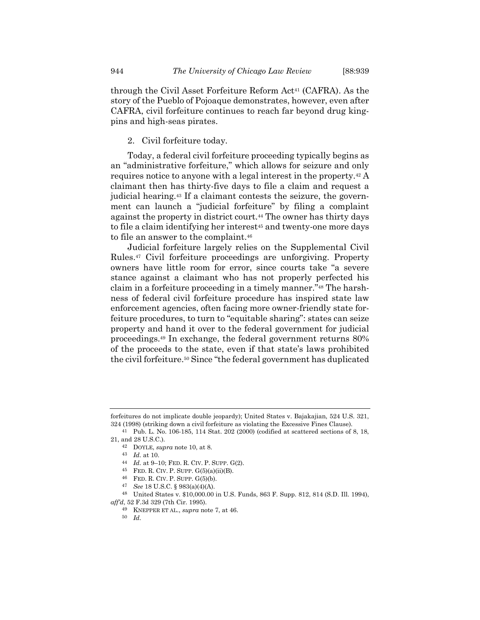through the Civil Asset Forfeiture Reform Act<sup>41</sup> (CAFRA). As the story of the Pueblo of Pojoaque demonstrates, however, even after CAFRA, civil forfeiture continues to reach far beyond drug kingpins and high-seas pirates.

## 2. Civil forfeiture today.

Today, a federal civil forfeiture proceeding typically begins as an "administrative forfeiture," which allows for seizure and only requires notice to anyone with a legal interest in the property.<sup>42</sup> A claimant then has thirty-five days to file a claim and request a judicial hearing.<sup>43</sup> If a claimant contests the seizure, the government can launch a "judicial forfeiture" by filing a complaint against the property in district court.<sup>44</sup> The owner has thirty days to file a claim identifying her interest<sup>45</sup> and twenty-one more days to file an answer to the complaint.<sup>46</sup>

Judicial forfeiture largely relies on the Supplemental Civil Rules.<sup>47</sup> Civil forfeiture proceedings are unforgiving. Property owners have little room for error, since courts take "a severe stance against a claimant who has not properly perfected his claim in a forfeiture proceeding in a timely manner."<sup>48</sup> The harshness of federal civil forfeiture procedure has inspired state law enforcement agencies, often facing more owner-friendly state forfeiture procedures, to turn to "equitable sharing": states can seize property and hand it over to the federal government for judicial proceedings.<sup>49</sup> In exchange, the federal government returns 80% of the proceeds to the state, even if that state's laws prohibited the civil forfeiture.<sup>50</sup> Since "the federal government has duplicated

forfeitures do not implicate double jeopardy); United States v. Bajakajian, 524 U.S. 321, 324 (1998) (striking down a civil forfeiture as violating the Excessive Fines Clause).

<sup>41</sup> Pub. L. No. 106-185, 114 Stat. 202 (2000) (codified at scattered sections of 8, 18, 21, and 28 U.S.C.).

<sup>42</sup> DOYLE, *supra* note [10,](#page-2-1) at 8.

<sup>43</sup> *Id.* at 10.

<sup>44</sup> *Id.* at 9–10; FED. R. CIV. P. SUPP. G(2).

<sup>45</sup> FED. R. CIV. P. SUPP. G(5)(a)(ii)(B).

<sup>46</sup> FED. R. CIV. P. SUPP. G(5)(b).

<sup>47</sup> *See* 18 U.S.C. § 983(a)(4)(A).

<sup>48</sup> United States v. \$10,000.00 in U.S. Funds, 863 F. Supp. 812, 814 (S.D. Ill. 1994), *aff'd*, 52 F.3d 329 (7th Cir. 1995).

<sup>49</sup> KNEPPER ET AL., *supra* not[e 7,](#page-2-0) at 46.

<sup>50</sup> *Id.*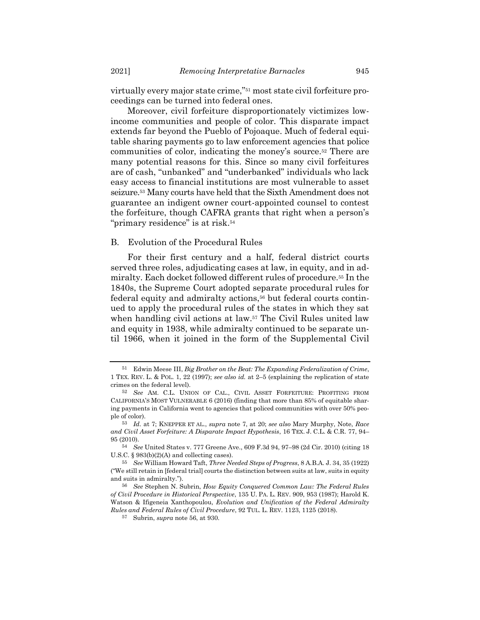virtually every major state crime,"<sup>51</sup> most state civil forfeiture proceedings can be turned into federal ones.

Moreover, civil forfeiture disproportionately victimizes lowincome communities and people of color. This disparate impact extends far beyond the Pueblo of Pojoaque. Much of federal equitable sharing payments go to law enforcement agencies that police communities of color, indicating the money's source.<sup>52</sup> There are many potential reasons for this. Since so many civil forfeitures are of cash, "unbanked" and "underbanked" individuals who lack easy access to financial institutions are most vulnerable to asset seizure.<sup>53</sup> Many courts have held that the Sixth Amendment does not guarantee an indigent owner court-appointed counsel to contest the forfeiture, though CAFRA grants that right when a person's "primary residence" is at risk.<sup>54</sup>

## B. Evolution of the Procedural Rules

<span id="page-8-0"></span>For their first century and a half, federal district courts served three roles, adjudicating cases at law, in equity, and in admiralty. Each docket followed different rules of procedure.<sup>55</sup> In the 1840s, the Supreme Court adopted separate procedural rules for federal equity and admiralty actions,<sup>56</sup> but federal courts continued to apply the procedural rules of the states in which they sat when handling civil actions at law.<sup>57</sup> The Civil Rules united law and equity in 1938, while admiralty continued to be separate until 1966, when it joined in the form of the Supplemental Civil

<sup>51</sup> Edwin Meese III, *Big Brother on the Beat: The Expanding Federalization of Crime*, 1 TEX. REV. L. & POL. 1, 22 (1997); *see also id.* at 2–5 (explaining the replication of state crimes on the federal level).

<sup>52</sup> *See* AM. C.L. UNION OF CAL., CIVIL ASSET FORFEITURE: PROFITING FROM CALIFORNIA'S MOST VULNERABLE 6 (2016) (finding that more than 85% of equitable sharing payments in California went to agencies that policed communities with over 50% people of color).

<sup>53</sup> *Id.* at 7; KNEPPER ET AL., *supra* note [7,](#page-2-0) at 20; *see also* Mary Murphy, Note, *Race and Civil Asset Forfeiture: A Disparate Impact Hypothesis*, 16 TEX. J. C.L. & C.R. 77, 94– 95 (2010).

<sup>54</sup> *See* United States v. 777 Greene Ave., 609 F.3d 94, 97–98 (2d Cir. 2010) (citing 18 U.S.C. § 983(b)(2)(A) and collecting cases).

<sup>55</sup> *See* William Howard Taft, *Three Needed Steps of Progress*, 8 A.B.A. J. 34, 35 (1922) ("We still retain in [federal trial] courts the distinction between suits at law, suits in equity and suits in admiralty.").

<sup>56</sup> *See* Stephen N. Subrin, *How Equity Conquered Common Law: The Federal Rules of Civil Procedure in Historical Perspective*, 135 U. PA. L. REV. 909, 953 (1987); Harold K. Watson & Ifigeneia Xanthopoulou, *Evolution and Unification of the Federal Admiralty Rules and Federal Rules of Civil Procedure*, 92 TUL. L. REV. 1123, 1125 (2018).

<sup>57</sup> Subrin, *supra* not[e 56,](#page-8-0) at 930.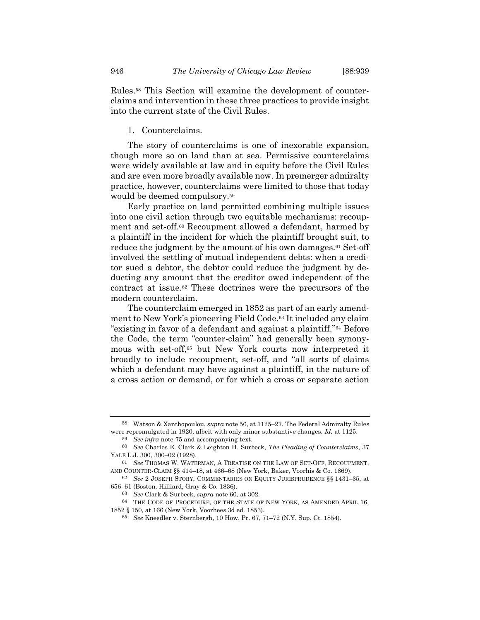Rules.<sup>58</sup> This Section will examine the development of counterclaims and intervention in these three practices to provide insight into the current state of the Civil Rules.

#### 1. Counterclaims.

The story of counterclaims is one of inexorable expansion, though more so on land than at sea. Permissive counterclaims were widely available at law and in equity before the Civil Rules and are even more broadly available now. In premerger admiralty practice, however, counterclaims were limited to those that today would be deemed compulsory.<sup>59</sup>

<span id="page-9-0"></span>Early practice on land permitted combining multiple issues into one civil action through two equitable mechanisms: recoupment and set-off.<sup>60</sup> Recoupment allowed a defendant, harmed by a plaintiff in the incident for which the plaintiff brought suit, to reduce the judgment by the amount of his own damages.<sup>61</sup> Set-off involved the settling of mutual independent debts: when a creditor sued a debtor, the debtor could reduce the judgment by deducting any amount that the creditor owed independent of the contract at issue.<sup>62</sup> These doctrines were the precursors of the modern counterclaim.

The counterclaim emerged in 1852 as part of an early amendment to New York's pioneering Field Code.<sup>63</sup> It included any claim "existing in favor of a defendant and against a plaintiff."<sup>64</sup> Before the Code, the term "counter-claim" had generally been synonymous with set-off,<sup>65</sup> but New York courts now interpreted it broadly to include recoupment, set-off, and "all sorts of claims which a defendant may have against a plaintiff, in the nature of a cross action or demand, or for which a cross or separate action

<sup>58</sup> Watson & Xanthopoulou, *supra* not[e 56,](#page-8-0) at 1125–27. The Federal Admiralty Rules were repromulgated in 1920, albeit with only minor substantive changes. *Id.* at 1125.

<sup>59</sup> *See infra* not[e 75](#page-10-0) and accompanying text.

<sup>60</sup> *See* Charles E. Clark & Leighton H. Surbeck, *The Pleading of Counterclaims*, 37 YALE L.J. 300, 300–02 (1928).

<sup>61</sup> *See* THOMAS W. WATERMAN, A TREATISE ON THE LAW OF SET-OFF, RECOUPMENT, AND COUNTER-CLAIM §§ 414–18, at 466–68 (New York, Baker, Voorhis & Co. 1869).

<sup>62</sup> *See* 2 JOSEPH STORY, COMMENTARIES ON EQUITY JURISPRUDENCE §§ 1431–35, at 656–61 (Boston, Hilliard, Gray & Co. 1836).

<sup>63</sup> *See* Clark & Surbeck, *supra* note [60,](#page-9-0) at 302.

<sup>64</sup> THE CODE OF PROCEDURE, OF THE STATE OF NEW YORK, AS AMENDED APRIL 16, 1852 § 150, at 166 (New York, Voorhees 3d ed. 1853).

<sup>65</sup> *See* Kneedler v. Sternbergh, 10 How. Pr. 67, 71–72 (N.Y. Sup. Ct. 1854).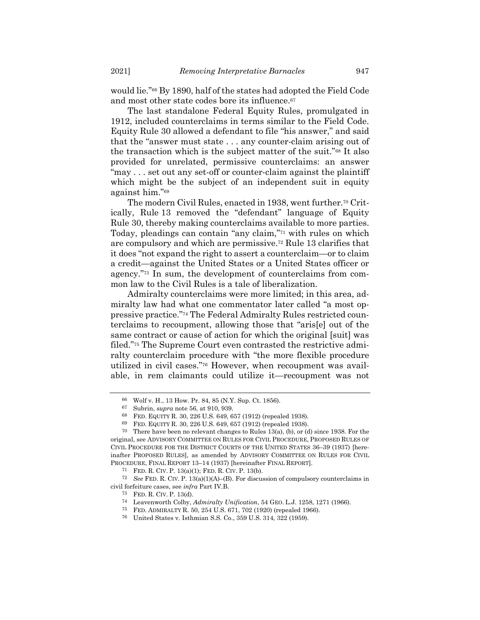would lie."<sup>66</sup> By 1890, half of the states had adopted the Field Code and most other state codes bore its influence.<sup>67</sup>

The last standalone Federal Equity Rules, promulgated in 1912, included counterclaims in terms similar to the Field Code. Equity Rule 30 allowed a defendant to file "his answer," and said that the "answer must state . . . any counter-claim arising out of the transaction which is the subject matter of the suit."<sup>68</sup> It also provided for unrelated, permissive counterclaims: an answer "may . . . set out any set-off or counter-claim against the plaintiff which might be the subject of an independent suit in equity against him."<sup>69</sup>

<span id="page-10-1"></span>The modern Civil Rules, enacted in 1938, went further.<sup>70</sup> Critically, Rule 13 removed the "defendant" language of Equity Rule 30, thereby making counterclaims available to more parties. Today, pleadings can contain "any claim,"<sup>71</sup> with rules on which are compulsory and which are permissive.<sup>72</sup> Rule 13 clarifies that it does "not expand the right to assert a counterclaim—or to claim a credit—against the United States or a United States officer or agency."<sup>73</sup> In sum, the development of counterclaims from common law to the Civil Rules is a tale of liberalization.

<span id="page-10-2"></span><span id="page-10-0"></span>Admiralty counterclaims were more limited; in this area, admiralty law had what one commentator later called "a most oppressive practice."<sup>74</sup> The Federal Admiralty Rules restricted counterclaims to recoupment, allowing those that "aris[e] out of the same contract or cause of action for which the original [suit] was filed."<sup>75</sup> The Supreme Court even contrasted the restrictive admiralty counterclaim procedure with "the more flexible procedure utilized in civil cases."<sup>76</sup> However, when recoupment was available, in rem claimants could utilize it—recoupment was not

<sup>66</sup> Wolf v. H., 13 How. Pr. 84, 85 (N.Y. Sup. Ct. 1856).

<sup>67</sup> Subrin, *supra* not[e 56,](#page-8-0) at 910, 939.

<sup>68</sup> FED. EQUITY R. 30, 226 U.S. 649, 657 (1912) (repealed 1938).

<sup>69</sup> FED. EQUITY R. 30, 226 U.S. 649, 657 (1912) (repealed 1938).

<sup>70</sup> There have been no relevant changes to Rules 13(a), (b), or (d) since 1938. For the original, see ADVISORY COMMITTEE ON RULES FOR CIVIL PROCEDURE, PROPOSED RULES OF CIVIL PROCEDURE FOR THE DISTRICT COURTS OF THE UNITED STATES 36–39 (1937) [hereinafter PROPOSED RULES], as amended by ADVISORY COMMITTEE ON RULES FOR CIVIL PROCEDURE, FINAL REPORT 13–14 (1937) [hereinafter FINAL REPORT].

<sup>71</sup> FED. R. CIV. P. 13(a)(1); FED. R. CIV. P. 13(b).

<sup>72</sup> *See* FED. R. CIV. P. 13(a)(1)(A)–(B). For discussion of compulsory counterclaims in civil forfeiture cases, see *infra* Part IV.B.

<sup>73</sup> FED. R. CIV. P. 13(d).

<sup>74</sup> Leavenworth Colby, *Admiralty Unification*, 54 GEO. L.J. 1258, 1271 (1966).

<sup>75</sup> FED. ADMIRALTY R. 50, 254 U.S. 671, 702 (1920) (repealed 1966).

<sup>76</sup> United States v. Isthmian S.S. Co., 359 U.S. 314, 322 (1959).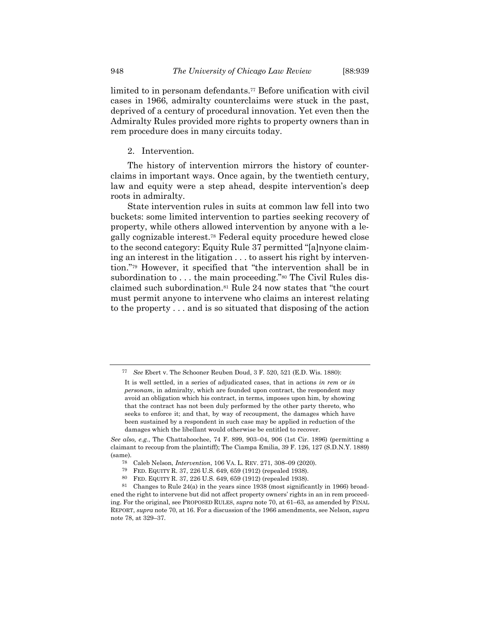limited to in personam defendants.<sup>77</sup> Before unification with civil cases in 1966, admiralty counterclaims were stuck in the past, deprived of a century of procedural innovation. Yet even then the Admiralty Rules provided more rights to property owners than in rem procedure does in many circuits today.

# <span id="page-11-1"></span>2. Intervention.

The history of intervention mirrors the history of counterclaims in important ways. Once again, by the twentieth century, law and equity were a step ahead, despite intervention's deep roots in admiralty.

<span id="page-11-0"></span>State intervention rules in suits at common law fell into two buckets: some limited intervention to parties seeking recovery of property, while others allowed intervention by anyone with a legally cognizable interest.<sup>78</sup> Federal equity procedure hewed close to the second category: Equity Rule 37 permitted "[a]nyone claiming an interest in the litigation . . . to assert his right by intervention."<sup>79</sup> However, it specified that "the intervention shall be in subordination to . . . the main proceeding."<sup>80</sup> The Civil Rules disclaimed such subordination.<sup>81</sup> Rule 24 now states that "the court must permit anyone to intervene who claims an interest relating to the property . . . and is so situated that disposing of the action

*See* Ebert v. The Schooner Reuben Doud, 3 F. 520, 521 (E.D. Wis. 1880):

It is well settled, in a series of adjudicated cases, that in actions *in rem* or *in personam*, in admiralty, which are founded upon contract, the respondent may avoid an obligation which his contract, in terms, imposes upon him, by showing that the contract has not been duly performed by the other party thereto, who seeks to enforce it; and that, by way of recoupment, the damages which have been sustained by a respondent in such case may be applied in reduction of the damages which the libellant would otherwise be entitled to recover.

*See also, e.g.*, The Chattahoochee, 74 F. 899, 903–04, 906 (1st Cir. 1896) (permitting a claimant to recoup from the plaintiff); The Ciampa Emilia, 39 F. 126, 127 (S.D.N.Y. 1889) (same).

<sup>78</sup> Caleb Nelson, *Intervention*, 106 VA. L. REV. 271, 308–09 (2020).

<sup>&</sup>lt;sup>79</sup> FED. EQUITY R. 37, 226 U.S. 649, 659 (1912) (repealed 1938).<br><sup>80</sup> FED. EQUITY R. 37, 226 U.S. 649, 659 (1912) (repealed 1938).

<sup>80</sup> FED. EQUITY R. 37, 226 U.S. 649, 659 (1912) (repealed 1938).

<sup>81</sup> Changes to Rule 24(a) in the years since 1938 (most significantly in 1966) broadened the right to intervene but did not affect property owners' rights in an in rem proceeding. For the original, see PROPOSED RULES, *supra* not[e 70,](#page-10-1) at 61–63, as amended by FINAL REPORT, *supra* not[e 70,](#page-10-1) at 16. For a discussion of the 1966 amendments, see Nelson, *supra* not[e 78,](#page-11-0) at 329–37.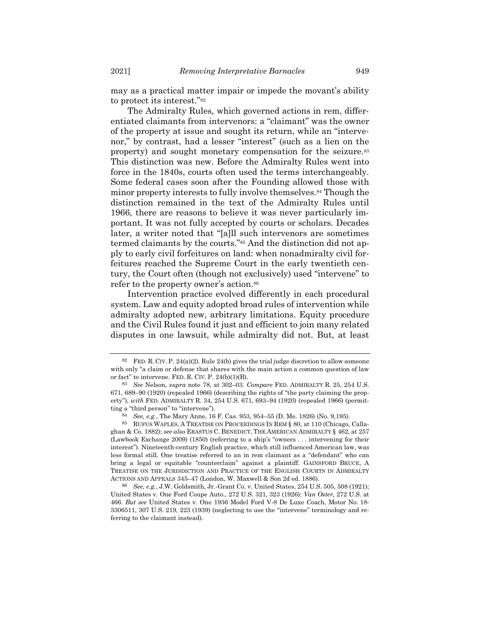<span id="page-12-0"></span>may as a practical matter impair or impede the movant's ability to protect its interest."<sup>82</sup>

The Admiralty Rules, which governed actions in rem, differentiated claimants from intervenors: a "claimant" was the owner of the property at issue and sought its return, while an "intervenor," by contrast, had a lesser "interest" (such as a lien on the property) and sought monetary compensation for the seizure.<sup>83</sup> This distinction was new. Before the Admiralty Rules went into force in the 1840s, courts often used the terms interchangeably. Some federal cases soon after the Founding allowed those with minor property interests to fully involve themselves.<sup>84</sup> Though the distinction remained in the text of the Admiralty Rules until 1966, there are reasons to believe it was never particularly important. It was not fully accepted by courts or scholars. Decades later, a writer noted that "[a]ll such intervenors are sometimes termed claimants by the courts."<sup>85</sup> And the distinction did not apply to early civil forfeitures on land: when nonadmiralty civil forfeitures reached the Supreme Court in the early twentieth century, the Court often (though not exclusively) used "intervene" to refer to the property owner's action.<sup>86</sup>

Intervention practice evolved differently in each procedural system. Law and equity adopted broad rules of intervention while admiralty adopted new, arbitrary limitations. Equity procedure and the Civil Rules found it just and efficient to join many related disputes in one lawsuit, while admiralty did not. But, at least

 $82$  FED. R. CIV. P. 24(a)(2). Rule 24(b) gives the trial judge discretion to allow someone with only "a claim or defense that shares with the main action a common question of law or fact" to intervene. FED. R. CIV. P. 24(b)(1)(B).

<sup>83</sup> *See* Nelson, *supra* note [78,](#page-11-0) at 302–03. *Compare* FED. ADMIRALTY R. 25, 254 U.S. 671, 689–90 (1920) (repealed 1966) (describing the rights of "the party claiming the property"), *with* FED. ADMIRALTY R. 34, 254 U.S. 671, 693–94 (1920) (repealed 1966) (permitting a "third person" to "intervene").

<sup>84</sup> *See, e.g.*, The Mary Anne, 16 F. Cas. 953, 954–55 (D. Me. 1826) (No. 9,195).

<sup>85</sup> RUFUS WAPLES, A TREATISE ON PROCEEDINGS IN REM § 80, at 110 (Chicago, Callaghan & Co. 1882); *see also* ERASTUS C. BENEDICT, THE AMERICAN ADMIRALTY § 462, at 257 (Lawbook Exchange 2009) (1850) (referring to a ship's "owners . . . intervening for their interest"). Nineteenth-century English practice, which still influenced American law, was less formal still. One treatise referred to an in rem claimant as a "defendant" who can bring a legal or equitable "counterclaim" against a plaintiff. GAINSFORD BRUCE, A TREATISE ON THE JURISDICTION AND PRACTICE OF THE ENGLISH COURTS IN ADMIRALTY ACTIONS AND APPEALS 345–47 (London, W. Maxwell & Son 2d ed. 1886).

<sup>86</sup> *See, e.g.*, J.W. Goldsmith, Jr.-Grant Co. v. United States, 254 U.S. 505, 508 (1921); United States v. One Ford Coupe Auto., 272 U.S. 321, 323 (1926); *Van Oster*, 272 U.S. at 466. *But see* United States v. One 1936 Model Ford V-8 De Luxe Coach, Motor No. 18- 3306511, 307 U.S. 219, 223 (1939) (neglecting to use the "intervene" terminology and referring to the claimant instead).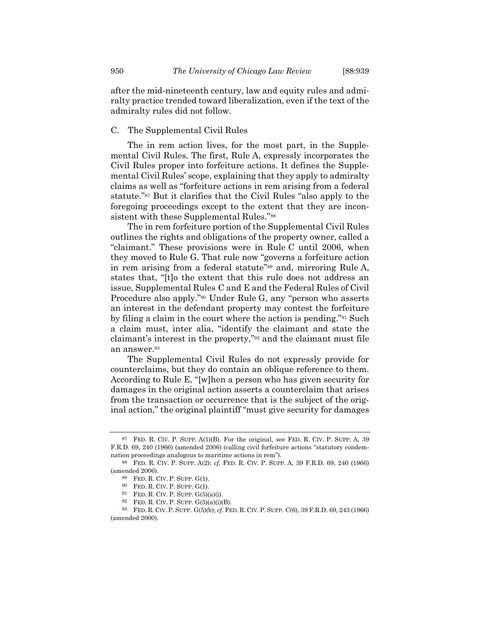after the mid-nineteenth century, law and equity rules and admiralty practice trended toward liberalization, even if the text of the admiralty rules did not follow.

#### C. The Supplemental Civil Rules

The in rem action lives, for the most part, in the Supplemental Civil Rules. The first, Rule A, expressly incorporates the Civil Rules proper into forfeiture actions. It defines the Supplemental Civil Rules' scope, explaining that they apply to admiralty claims as well as "forfeiture actions in rem arising from a federal statute."<sup>87</sup> But it clarifies that the Civil Rules "also apply to the foregoing proceedings except to the extent that they are inconsistent with these Supplemental Rules."<sup>88</sup>

The in rem forfeiture portion of the Supplemental Civil Rules outlines the rights and obligations of the property owner, called a "claimant." These provisions were in Rule C until 2006, when they moved to Rule G. That rule now "governs a forfeiture action in rem arising from a federal statute"<sup>89</sup> and, mirroring Rule A, states that, "[t]o the extent that this rule does not address an issue, Supplemental Rules C and E and the Federal Rules of Civil Procedure also apply."<sup>90</sup> Under Rule G, any "person who asserts an interest in the defendant property may contest the forfeiture by filing a claim in the court where the action is pending."<sup>91</sup> Such a claim must, inter alia, "identify the claimant and state the claimant's interest in the property,"<sup>92</sup> and the claimant must file an answer.<sup>93</sup>

The Supplemental Civil Rules do not expressly provide for counterclaims, but they do contain an oblique reference to them. According to Rule E, "[w]hen a person who has given security for damages in the original action asserts a counterclaim that arises from the transaction or occurrence that is the subject of the original action," the original plaintiff "must give security for damages

<sup>87</sup> FED. R. CIV. P. SUPP. A(1)(B). For the original, see FED. R. CIV. P. SUPP. A, 39 F.R.D. 69, 240 (1966) (amended 2006) (calling civil forfeiture actions "statutory condemnation proceedings analogous to maritime actions in rem").

<sup>88</sup> FED. R. CIV. P. SUPP. A(2); *cf.* FED. R. CIV. P. SUPP. A, 39 F.R.D. 69, 240 (1966) (amended 2006).

<sup>89</sup> FED. R. CIV. P. SUPP. G(1).

<sup>90</sup> FED. R. CIV. P. SUPP. G(1).

 $91$  FED. R. CIV. P. SUPP.  $G(5)(a)(i)$ .

<sup>92</sup> FED. R. CIV. P. SUPP. G(5)(a)(i)(B).

<sup>93</sup> FED. R. CIV. P. SUPP. G(5)(b); *cf.* FED. R. CIV. P. SUPP. C(6), 39 F.R.D. 69, 243 (1966) (amended 2000).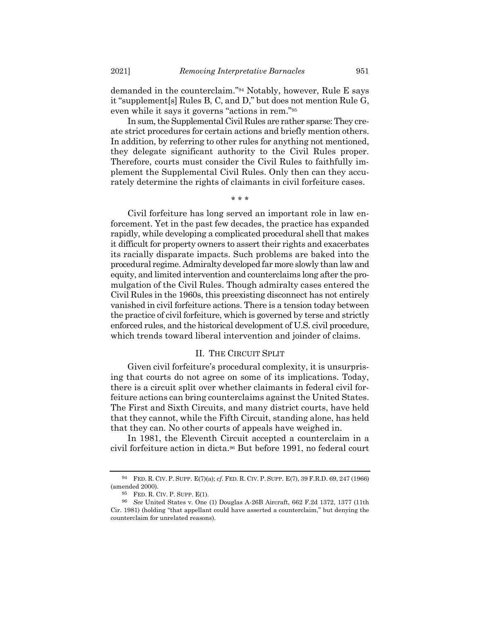demanded in the counterclaim."<sup>94</sup> Notably, however, Rule E says it "supplement[s] Rules B, C, and D," but does not mention Rule G, even while it says it governs "actions in rem."<sup>95</sup>

In sum, the Supplemental Civil Rules are rather sparse: They create strict procedures for certain actions and briefly mention others. In addition, by referring to other rules for anything not mentioned, they delegate significant authority to the Civil Rules proper. Therefore, courts must consider the Civil Rules to faithfully implement the Supplemental Civil Rules. Only then can they accurately determine the rights of claimants in civil forfeiture cases.

\* \* \*

Civil forfeiture has long served an important role in law enforcement. Yet in the past few decades, the practice has expanded rapidly, while developing a complicated procedural shell that makes it difficult for property owners to assert their rights and exacerbates its racially disparate impacts. Such problems are baked into the procedural regime. Admiralty developed far more slowly than law and equity, and limited intervention and counterclaims long after the promulgation of the Civil Rules. Though admiralty cases entered the Civil Rules in the 1960s, this preexisting disconnect has not entirely vanished in civil forfeiture actions. There is a tension today between the practice of civil forfeiture, which is governed by terse and strictly enforced rules, and the historical development of U.S. civil procedure, which trends toward liberal intervention and joinder of claims.

#### II. THE CIRCUIT SPLIT

Given civil forfeiture's procedural complexity, it is unsurprising that courts do not agree on some of its implications. Today, there is a circuit split over whether claimants in federal civil forfeiture actions can bring counterclaims against the United States. The First and Sixth Circuits, and many district courts, have held that they cannot, while the Fifth Circuit, standing alone, has held that they can. No other courts of appeals have weighed in.

In 1981, the Eleventh Circuit accepted a counterclaim in a civil forfeiture action in dicta.<sup>96</sup> But before 1991, no federal court

<sup>94</sup> FED. R. CIV. P. SUPP. E(7)(a); *cf.* FED. R. CIV. P. SUPP. E(7), 39 F.R.D. 69, 247 (1966) (amended 2000).

<sup>95</sup> FED. R. CIV. P. SUPP. E(1).

<sup>96</sup> *See* United States v. One (1) Douglas A-26B Aircraft, 662 F.2d 1372, 1377 (11th Cir. 1981) (holding "that appellant could have asserted a counterclaim," but denying the counterclaim for unrelated reasons).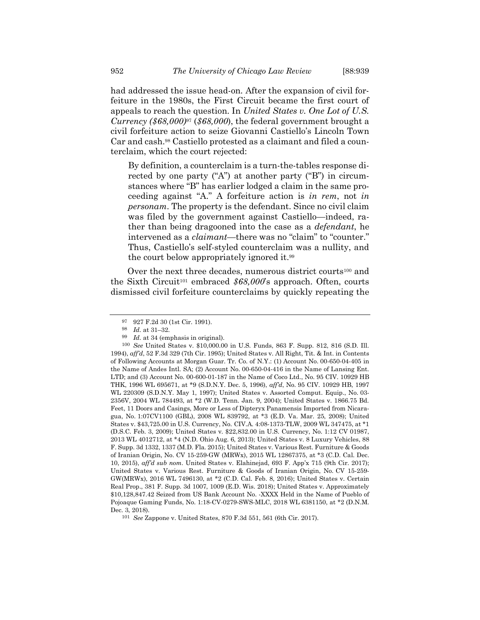had addressed the issue head-on. After the expansion of civil forfeiture in the 1980s, the First Circuit became the first court of appeals to reach the question. In *United States v. One Lot of U.S. Currency (\$68,000)*<sup>97</sup> (*\$68,000*), the federal government brought a civil forfeiture action to seize Giovanni Castiello's Lincoln Town Car and cash.<sup>98</sup> Castiello protested as a claimant and filed a counterclaim, which the court rejected:

<span id="page-15-0"></span>By definition, a counterclaim is a turn-the-tables response directed by one party ("A") at another party ("B") in circumstances where "B" has earlier lodged a claim in the same proceeding against "A." A forfeiture action is *in rem*, not *in personam*. The property is the defendant. Since no civil claim was filed by the government against Castiello—indeed, rather than being dragooned into the case as a *defendant*, he intervened as a *claimant*—there was no "claim" to "counter." Thus, Castiello's self-styled counterclaim was a nullity, and the court below appropriately ignored it.<sup>99</sup>

Over the next three decades, numerous district courts<sup>100</sup> and the Sixth Circuit<sup>101</sup> embraced *\$68,000*'s approach. Often, courts dismissed civil forfeiture counterclaims by quickly repeating the

<span id="page-15-1"></span><sup>97</sup> 927 F.2d 30 (1st Cir. 1991).

<sup>98</sup> *Id.* at 31–32.

<sup>99</sup> *Id.* at 34 (emphasis in original).

<sup>100</sup> *See* United States v. \$10,000.00 in U.S. Funds, 863 F. Supp. 812, 816 (S.D. Ill. 1994), *aff'd*, 52 F.3d 329 (7th Cir. 1995); United States v. All Right, Tit. & Int. in Contents of Following Accounts at Morgan Guar. Tr. Co. of N.Y.: (1) Account No. 00-650-04-405 in the Name of Andes Intl. SA; (2) Account No. 00-650-04-416 in the Name of Lansing Ent. LTD; and (3) Account No. 00-600-01-187 in the Name of Coco Ltd., No. 95 CIV. 10929 HB THK, 1996 WL 695671, at \*9 (S.D.N.Y. Dec. 5, 1996), *aff'd*, No. 95 CIV. 10929 HB, 1997 WL 220309 (S.D.N.Y. May 1, 1997); United States v. Assorted Comput. Equip., No. 03- 2356V, 2004 WL 784493, at \*2 (W.D. Tenn. Jan. 9, 2004); United States v. 1866.75 Bd. Feet, 11 Doors and Casings, More or Less of Dipteryx Panamensis Imported from Nicaragua, No. 1:07CV1100 (GBL), 2008 WL 839792, at \*3 (E.D. Va. Mar. 25, 2008); United States v. \$43,725.00 in U.S. Currency, No. CIV.A. 4:08-1373-TLW, 2009 WL 347475, at \*1 (D.S.C. Feb. 3, 2009); United States v. \$22,832.00 in U.S. Currency, No. 1:12 CV 01987, 2013 WL 4012712, at \*4 (N.D. Ohio Aug. 6, 2013); United States v. 8 Luxury Vehicles, 88 F. Supp. 3d 1332, 1337 (M.D. Fla. 2015); United States v. Various Rest. Furniture & Goods of Iranian Origin, No. CV 15-259-GW (MRWx), 2015 WL 12867375, at \*3 (C.D. Cal. Dec. 10, 2015), *aff'd sub nom.* United States v. Elahinejad, 693 F. App'x 715 (9th Cir. 2017); United States v. Various Rest. Furniture & Goods of Iranian Origin, No. CV 15-259- GW(MRWx), 2016 WL 7496130, at \*2 (C.D. Cal. Feb. 8, 2016); United States v. Certain Real Prop., 381 F. Supp. 3d 1007, 1009 (E.D. Wis. 2018); United States v. Approximately \$10,128,847.42 Seized from US Bank Account No. -XXXX Held in the Name of Pueblo of Pojoaque Gaming Funds, No. 1:18-CV-0279-SWS-MLC, 2018 WL 6381150, at \*2 (D.N.M. Dec. 3, 2018).

<sup>101</sup> *See* Zappone v. United States, 870 F.3d 551, 561 (6th Cir. 2017).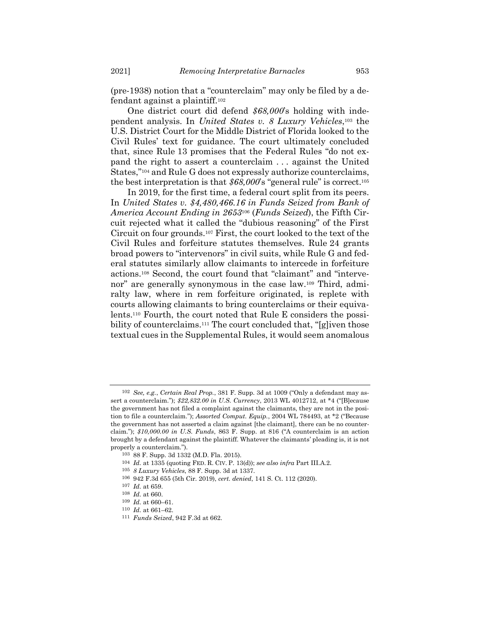(pre-1938) notion that a "counterclaim" may only be filed by a defendant against a plaintiff.<sup>102</sup>

One district court did defend *\$68,000*'s holding with independent analysis. In *United States v. 8 Luxury Vehicles*, <sup>103</sup> the U.S. District Court for the Middle District of Florida looked to the Civil Rules' text for guidance. The court ultimately concluded that, since Rule 13 promises that the Federal Rules "do not expand the right to assert a counterclaim . . . against the United States,"<sup>104</sup> and Rule G does not expressly authorize counterclaims, the best interpretation is that *\$68,000*'s "general rule" is correct.<sup>105</sup>

<span id="page-16-0"></span>In 2019, for the first time, a federal court split from its peers. In *United States v. \$4,480,466.16 in Funds Seized from Bank of America Account Ending in 2653*<sup>106</sup> (*Funds Seized*), the Fifth Circuit rejected what it called the "dubious reasoning" of the First Circuit on four grounds.<sup>107</sup> First, the court looked to the text of the Civil Rules and forfeiture statutes themselves. Rule 24 grants broad powers to "intervenors" in civil suits, while Rule G and federal statutes similarly allow claimants to intercede in forfeiture actions.<sup>108</sup> Second, the court found that "claimant" and "intervenor" are generally synonymous in the case law.<sup>109</sup> Third, admiralty law, where in rem forfeiture originated, is replete with courts allowing claimants to bring counterclaims or their equivalents.<sup>110</sup> Fourth, the court noted that Rule E considers the possibility of counterclaims.<sup>111</sup> The court concluded that, "[g]iven those textual cues in the Supplemental Rules, it would seem anomalous

<sup>102</sup> *See, e.g.*, *Certain Real Prop.*, 381 F. Supp. 3d at 1009 ("Only a defendant may assert a counterclaim."); *\$22,832.00 in U.S. Currency*, 2013 WL 4012712, at \*4 ("[B]ecause the government has not filed a complaint against the claimants, they are not in the position to file a counterclaim."); *Assorted Comput. Equip.*, 2004 WL 784493, at \*2 ("Because the government has not asserted a claim against [the claimant], there can be no counterclaim."); *\$10,000.00 in U.S. Funds*, 863 F. Supp. at 816 ("A counterclaim is an action brought by a defendant against the plaintiff. Whatever the claimants' pleading is, it is not properly a counterclaim.").

<sup>103</sup> 88 F. Supp. 3d 1332 (M.D. Fla. 2015).

<sup>104</sup> *Id.* at 1335 (quoting FED. R. CIV. P. 13(d)); *see also infra* Part III.A.2.

<sup>105</sup> *8 Luxury Vehicles*, 88 F. Supp. 3d at 1337.

<sup>106</sup> 942 F.3d 655 (5th Cir. 2019), *cert. denied*, 141 S. Ct. 112 (2020).

<sup>107</sup> *Id.* at 659.

<sup>108</sup> *Id.* at 660.

<sup>109</sup> *Id.* at 660–61.

<sup>110</sup> *Id.* at 661–62.

<sup>111</sup> *Funds Seized*, 942 F.3d at 662.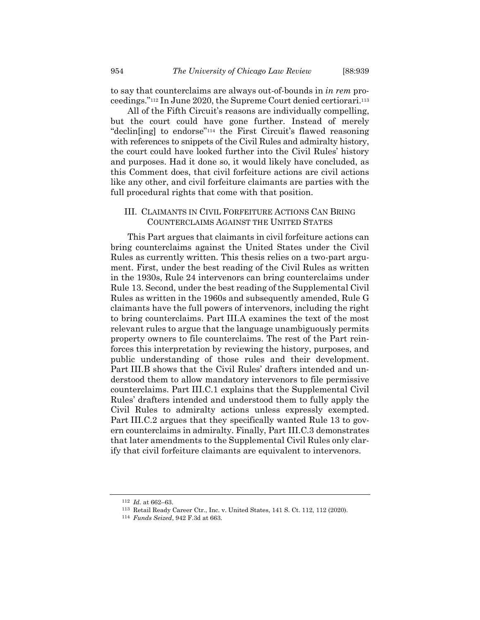to say that counterclaims are always out-of-bounds in *in rem* proceedings."<sup>112</sup> In June 2020, the Supreme Court denied certiorari.<sup>113</sup>

All of the Fifth Circuit's reasons are individually compelling, but the court could have gone further. Instead of merely "declin[ing] to endorse"<sup>114</sup> the First Circuit's flawed reasoning with references to snippets of the Civil Rules and admiralty history, the court could have looked further into the Civil Rules' history and purposes. Had it done so, it would likely have concluded, as this Comment does, that civil forfeiture actions are civil actions like any other, and civil forfeiture claimants are parties with the full procedural rights that come with that position.

# III. CLAIMANTS IN CIVIL FORFEITURE ACTIONS CAN BRING COUNTERCLAIMS AGAINST THE UNITED STATES

This Part argues that claimants in civil forfeiture actions can bring counterclaims against the United States under the Civil Rules as currently written. This thesis relies on a two-part argument. First, under the best reading of the Civil Rules as written in the 1930s, Rule 24 intervenors can bring counterclaims under Rule 13. Second, under the best reading of the Supplemental Civil Rules as written in the 1960s and subsequently amended, Rule G claimants have the full powers of intervenors, including the right to bring counterclaims. Part III.A examines the text of the most relevant rules to argue that the language unambiguously permits property owners to file counterclaims. The rest of the Part reinforces this interpretation by reviewing the history, purposes, and public understanding of those rules and their development. Part III.B shows that the Civil Rules' drafters intended and understood them to allow mandatory intervenors to file permissive counterclaims. Part III.C.1 explains that the Supplemental Civil Rules' drafters intended and understood them to fully apply the Civil Rules to admiralty actions unless expressly exempted. Part III.C.2 argues that they specifically wanted Rule 13 to govern counterclaims in admiralty. Finally, Part III.C.3 demonstrates that later amendments to the Supplemental Civil Rules only clarify that civil forfeiture claimants are equivalent to intervenors.

<sup>112</sup> *Id.* at 662–63.

<sup>113</sup> Retail Ready Career Ctr., Inc. v. United States, 141 S. Ct. 112, 112 (2020).

<sup>114</sup> *Funds Seized*, 942 F.3d at 663.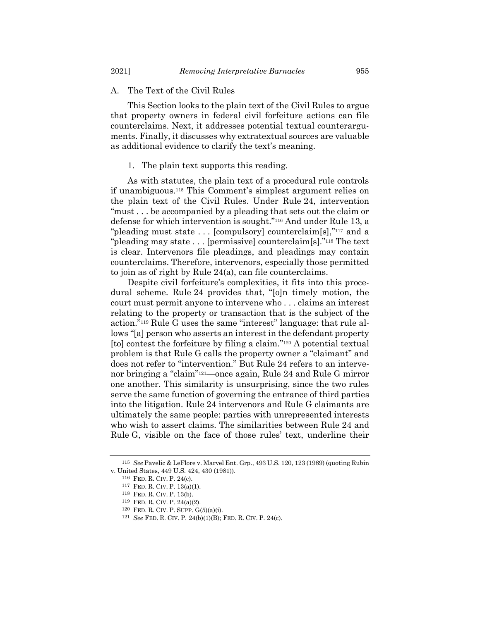#### A. The Text of the Civil Rules

This Section looks to the plain text of the Civil Rules to argue that property owners in federal civil forfeiture actions can file counterclaims. Next, it addresses potential textual counterarguments. Finally, it discusses why extratextual sources are valuable as additional evidence to clarify the text's meaning.

#### 1. The plain text supports this reading.

As with statutes, the plain text of a procedural rule controls if unambiguous.<sup>115</sup> This Comment's simplest argument relies on the plain text of the Civil Rules. Under Rule 24, intervention "must . . . be accompanied by a pleading that sets out the claim or defense for which intervention is sought."<sup>116</sup> And under Rule 13, a "pleading must state . . . [compulsory] counterclaim[s],"<sup>117</sup> and a "pleading may state . . . [permissive] counterclaim[s]."<sup>118</sup> The text is clear. Intervenors file pleadings, and pleadings may contain counterclaims. Therefore, intervenors, especially those permitted to join as of right by Rule 24(a), can file counterclaims.

Despite civil forfeiture's complexities, it fits into this procedural scheme. Rule 24 provides that, "[o]n timely motion, the court must permit anyone to intervene who . . . claims an interest relating to the property or transaction that is the subject of the action."<sup>119</sup> Rule G uses the same "interest" language: that rule allows "[a] person who asserts an interest in the defendant property [to] contest the forfeiture by filing a claim."<sup>120</sup> A potential textual problem is that Rule G calls the property owner a "claimant" and does not refer to "intervention." But Rule 24 refers to an intervenor bringing a "claim"121—once again, Rule 24 and Rule G mirror one another. This similarity is unsurprising, since the two rules serve the same function of governing the entrance of third parties into the litigation. Rule 24 intervenors and Rule G claimants are ultimately the same people: parties with unrepresented interests who wish to assert claims. The similarities between Rule 24 and Rule G, visible on the face of those rules' text, underline their

<sup>115</sup> *See* Pavelic & LeFlore v. Marvel Ent. Grp., 493 U.S. 120, 123 (1989) (quoting Rubin v. United States, 449 U.S. 424, 430 (1981)).

<sup>116</sup> FED. R. CIV. P. 24(c).

<sup>117</sup> FED. R. CIV. P. 13(a)(1).

<sup>118</sup> FED. R. CIV. P. 13(b).

<sup>119</sup> FED. R. CIV. P. 24(a)(2).

<sup>120</sup> FED. R. CIV. P. SUPP. G(5)(a)(i).

<sup>121</sup> *See* FED. R. CIV. P. 24(b)(1)(B); FED. R. CIV. P. 24(c).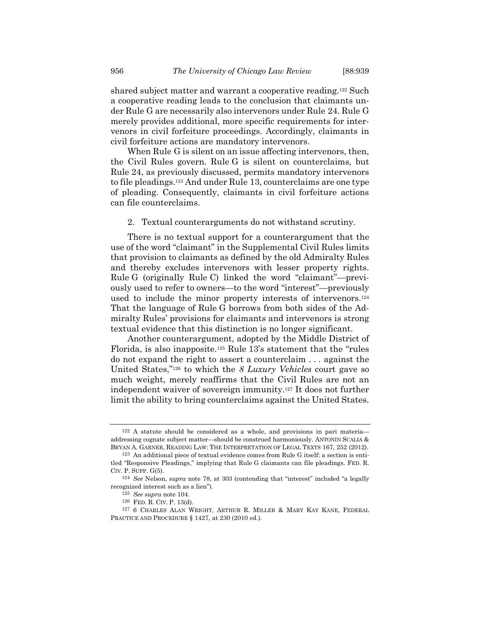shared subject matter and warrant a cooperative reading.<sup>122</sup> Such a cooperative reading leads to the conclusion that claimants under Rule G are necessarily also intervenors under Rule 24. Rule G merely provides additional, more specific requirements for intervenors in civil forfeiture proceedings. Accordingly, claimants in civil forfeiture actions are mandatory intervenors.

When Rule G is silent on an issue affecting intervenors, then, the Civil Rules govern. Rule G is silent on counterclaims, but Rule 24, as previously discussed, permits mandatory intervenors to file pleadings.<sup>123</sup> And under Rule 13, counterclaims are one type of pleading. Consequently, claimants in civil forfeiture actions can file counterclaims.

2. Textual counterarguments do not withstand scrutiny.

There is no textual support for a counterargument that the use of the word "claimant" in the Supplemental Civil Rules limits that provision to claimants as defined by the old Admiralty Rules and thereby excludes intervenors with lesser property rights. Rule G (originally Rule C) linked the word "claimant"—previously used to refer to owners—to the word "interest"—previously used to include the minor property interests of intervenors.<sup>124</sup> That the language of Rule G borrows from both sides of the Admiralty Rules' provisions for claimants and intervenors is strong textual evidence that this distinction is no longer significant.

Another counterargument, adopted by the Middle District of Florida, is also inapposite.<sup>125</sup> Rule 13's statement that the "rules do not expand the right to assert a counterclaim . . . against the United States," <sup>126</sup> to which the *8 Luxury Vehicles* court gave so much weight, merely reaffirms that the Civil Rules are not an independent waiver of sovereign immunity.<sup>127</sup> It does not further limit the ability to bring counterclaims against the United States.

<sup>122</sup> A statute should be considered as a whole, and provisions in pari materia addressing cognate subject matter—should be construed harmoniously. ANTONIN SCALIA & BRYAN A. GARNER, READING LAW: THE INTERPRETATION OF LEGAL TEXTS 167, 252 (2012).

<sup>123</sup> An additional piece of textual evidence comes from Rule G itself: a section is entitled "Responsive Pleadings," implying that Rule G claimants can file pleadings. FED. R. CIV. P. SUPP. G(5).

<sup>124</sup> *See* Nelson, *supra* note [78,](#page-11-0) at 303 (contending that "interest" included "a legally recognized interest such as a lien").

<sup>125</sup> *See supra* not[e 104.](#page-16-0)

<sup>126</sup> FED. R. CIV. P. 13(d).

<sup>127</sup> 6 CHARLES ALAN WRIGHT, ARTHUR R. MILLER & MARY KAY KANE, FEDERAL PRACTICE AND PROCEDURE § 1427, at 230 (2010 ed.).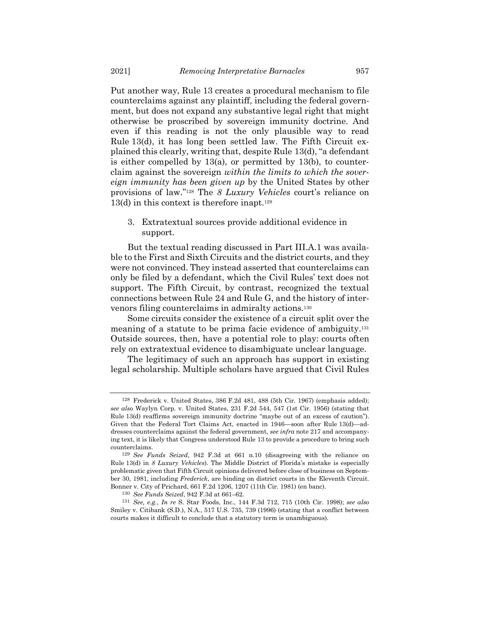Put another way, Rule 13 creates a procedural mechanism to file counterclaims against any plaintiff, including the federal government, but does not expand any substantive legal right that might otherwise be proscribed by sovereign immunity doctrine. And even if this reading is not the only plausible way to read Rule 13(d), it has long been settled law. The Fifth Circuit explained this clearly, writing that, despite Rule 13(d), "a defendant is either compelled by 13(a), or permitted by 13(b), to counterclaim against the sovereign *within the limits to which the sovereign immunity has been given up* by the United States by other provisions of law."<sup>128</sup> The *8 Luxury Vehicles* court's reliance on 13(d) in this context is therefore inapt.<sup>129</sup>

3. Extratextual sources provide additional evidence in support.

But the textual reading discussed in Part III.A.1 was available to the First and Sixth Circuits and the district courts, and they were not convinced. They instead asserted that counterclaims can only be filed by a defendant, which the Civil Rules' text does not support. The Fifth Circuit, by contrast, recognized the textual connections between Rule 24 and Rule G, and the history of intervenors filing counterclaims in admiralty actions.<sup>130</sup>

Some circuits consider the existence of a circuit split over the meaning of a statute to be prima facie evidence of ambiguity. 131 Outside sources, then, have a potential role to play: courts often rely on extratextual evidence to disambiguate unclear language.

The legitimacy of such an approach has support in existing legal scholarship. Multiple scholars have argued that Civil Rules

<sup>128</sup> Frederick v. United States, 386 F.2d 481, 488 (5th Cir. 1967) (emphasis added); *see also* Waylyn Corp. v. United States, 231 F.2d 544, 547 (1st Cir. 1956) (stating that Rule 13(d) reaffirms sovereign immunity doctrine "maybe out of an excess of caution"). Given that the Federal Tort Claims Act, enacted in 1946—soon after Rule 13(d)—addresses counterclaims against the federal government, *see infra* note [217](#page-34-0) and accompanying text, it is likely that Congress understood Rule 13 to provide a procedure to bring such counterclaims.

<sup>129</sup> *See Funds Seized*, 942 F.3d at 661 n.10 (disagreeing with the reliance on Rule 13(d) in *8 Luxury Vehicles*). The Middle District of Florida's mistake is especially problematic given that Fifth Circuit opinions delivered before close of business on September 30, 1981, including *Frederick*, are binding on district courts in the Eleventh Circuit. Bonner v. City of Prichard, 661 F.2d 1206, 1207 (11th Cir. 1981) (en banc).

<sup>130</sup> *See Funds Seized*, 942 F.3d at 661–62.

<sup>131</sup> *See, e.g.*, *In re* S. Star Foods, Inc., 144 F.3d 712, 715 (10th Cir. 1998); *see also* Smiley v. Citibank (S.D.), N.A., 517 U.S. 735, 739 (1996) (stating that a conflict between courts makes it difficult to conclude that a statutory term is unambiguous).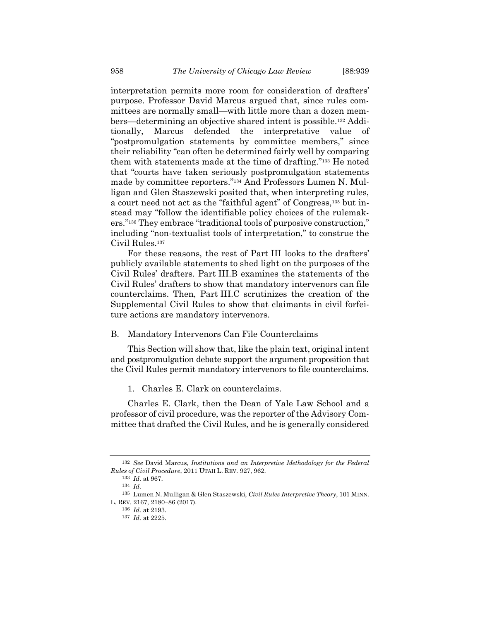interpretation permits more room for consideration of drafters' purpose. Professor David Marcus argued that, since rules committees are normally small—with little more than a dozen members—determining an objective shared intent is possible.<sup>132</sup> Additionally, Marcus defended the interpretative value of "postpromulgation statements by committee members," since their reliability "can often be determined fairly well by comparing them with statements made at the time of drafting."<sup>133</sup> He noted that "courts have taken seriously postpromulgation statements made by committee reporters."<sup>134</sup> And Professors Lumen N. Mulligan and Glen Staszewski posited that, when interpreting rules, a court need not act as the "faithful agent" of Congress,<sup>135</sup> but instead may "follow the identifiable policy choices of the rulemakers."<sup>136</sup> They embrace "traditional tools of purposive construction," including "non-textualist tools of interpretation," to construe the Civil Rules.<sup>137</sup>

For these reasons, the rest of Part III looks to the drafters' publicly available statements to shed light on the purposes of the Civil Rules' drafters. Part III.B examines the statements of the Civil Rules' drafters to show that mandatory intervenors can file counterclaims. Then, Part III.C scrutinizes the creation of the Supplemental Civil Rules to show that claimants in civil forfeiture actions are mandatory intervenors.

B. Mandatory Intervenors Can File Counterclaims

This Section will show that, like the plain text, original intent and postpromulgation debate support the argument proposition that the Civil Rules permit mandatory intervenors to file counterclaims.

1. Charles E. Clark on counterclaims.

Charles E. Clark, then the Dean of Yale Law School and a professor of civil procedure, was the reporter of the Advisory Committee that drafted the Civil Rules, and he is generally considered

<sup>132</sup> *See* David Marcus, *Institutions and an Interpretive Methodology for the Federal Rules of Civil Procedure*, 2011 UTAH L. REV. 927, 962.

<sup>133</sup> *Id.* at 967.

<sup>134</sup> *Id.*

<sup>135</sup> Lumen N. Mulligan & Glen Staszewski, *Civil Rules Interpretive Theory*, 101 MINN. L. REV. 2167, 2180–86 (2017).

<sup>136</sup> *Id.* at 2193.

<sup>137</sup> *Id.* at 2225.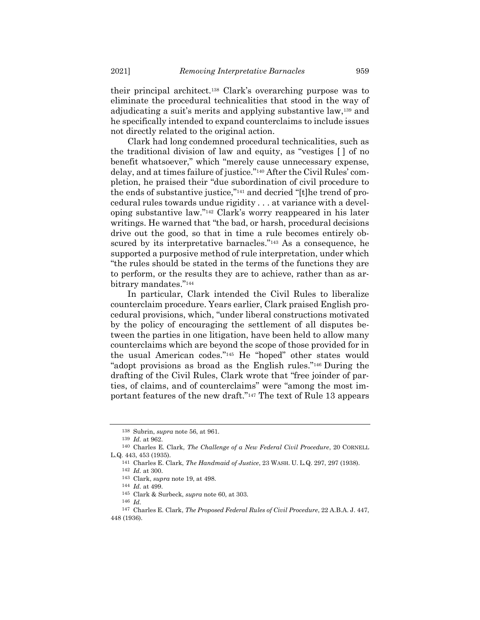their principal architect.<sup>138</sup> Clark's overarching purpose was to eliminate the procedural technicalities that stood in the way of adjudicating a suit's merits and applying substantive law,<sup>139</sup> and he specifically intended to expand counterclaims to include issues not directly related to the original action.

Clark had long condemned procedural technicalities, such as the traditional division of law and equity, as "vestiges [ ] of no benefit whatsoever," which "merely cause unnecessary expense, delay, and at times failure of justice."<sup>140</sup> After the Civil Rules' completion, he praised their "due subordination of civil procedure to the ends of substantive justice,"<sup>141</sup> and decried "[t]he trend of procedural rules towards undue rigidity . . . at variance with a developing substantive law."<sup>142</sup> Clark's worry reappeared in his later writings. He warned that "the bad, or harsh, procedural decisions drive out the good, so that in time a rule becomes entirely obscured by its interpretative barnacles."<sup>143</sup> As a consequence, he supported a purposive method of rule interpretation, under which "the rules should be stated in the terms of the functions they are to perform, or the results they are to achieve, rather than as arbitrary mandates."<sup>144</sup>

In particular, Clark intended the Civil Rules to liberalize counterclaim procedure. Years earlier, Clark praised English procedural provisions, which, "under liberal constructions motivated by the policy of encouraging the settlement of all disputes between the parties in one litigation, have been held to allow many counterclaims which are beyond the scope of those provided for in the usual American codes."<sup>145</sup> He "hoped" other states would "adopt provisions as broad as the English rules."<sup>146</sup> During the drafting of the Civil Rules, Clark wrote that "free joinder of parties, of claims, and of counterclaims" were "among the most important features of the new draft."<sup>147</sup> The text of Rule 13 appears

<sup>138</sup> Subrin, *supra* not[e 56,](#page-8-0) at 961.

<sup>139</sup> *Id.* at 962.

<sup>140</sup> Charles E. Clark, *The Challenge of a New Federal Civil Procedure*, 20 CORNELL L.Q. 443, 453 (1935).

<sup>141</sup> Charles E. Clark, *The Handmaid of Justice*, 23 WASH. U. L.Q. 297, 297 (1938).

<sup>142</sup> *Id.* at 300.

<sup>143</sup> Clark, *supra* note [19,](#page-3-0) at 498.

<sup>144</sup> *Id.* at 499.

<sup>145</sup> Clark & Surbeck, *supra* not[e 60,](#page-9-0) at 303.

<sup>146</sup> *Id.*

<sup>147</sup> Charles E. Clark, *The Proposed Federal Rules of Civil Procedure*, 22 A.B.A. J. 447, 448 (1936).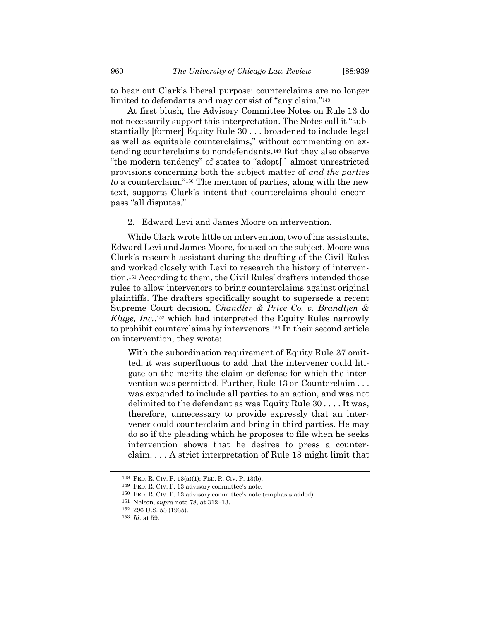to bear out Clark's liberal purpose: counterclaims are no longer limited to defendants and may consist of "any claim."<sup>148</sup>

At first blush, the Advisory Committee Notes on Rule 13 do not necessarily support this interpretation. The Notes call it "substantially [former] Equity Rule 30 . . . broadened to include legal as well as equitable counterclaims," without commenting on extending counterclaims to nondefendants.<sup>149</sup> But they also observe "the modern tendency" of states to "adopt[ ] almost unrestricted provisions concerning both the subject matter of *and the parties to* a counterclaim."<sup>150</sup> The mention of parties, along with the new text, supports Clark's intent that counterclaims should encompass "all disputes."

2. Edward Levi and James Moore on intervention.

While Clark wrote little on intervention, two of his assistants, Edward Levi and James Moore, focused on the subject. Moore was Clark's research assistant during the drafting of the Civil Rules and worked closely with Levi to research the history of intervention.<sup>151</sup> According to them, the Civil Rules' drafters intended those rules to allow intervenors to bring counterclaims against original plaintiffs. The drafters specifically sought to supersede a recent Supreme Court decision, *Chandler & Price Co. v. Brandtjen & Kluge, Inc.*, <sup>152</sup> which had interpreted the Equity Rules narrowly to prohibit counterclaims by intervenors.<sup>153</sup> In their second article on intervention, they wrote:

With the subordination requirement of Equity Rule 37 omitted, it was superfluous to add that the intervener could litigate on the merits the claim or defense for which the intervention was permitted. Further, Rule 13 on Counterclaim . . . was expanded to include all parties to an action, and was not delimited to the defendant as was Equity Rule 30 . . . . It was, therefore, unnecessary to provide expressly that an intervener could counterclaim and bring in third parties. He may do so if the pleading which he proposes to file when he seeks intervention shows that he desires to press a counterclaim. . . . A strict interpretation of Rule 13 might limit that

<sup>148</sup> FED. R. CIV. P. 13(a)(1); FED. R. CIV. P. 13(b).

<sup>149</sup> FED. R. CIV. P. 13 advisory committee's note.

<sup>150</sup> FED. R. CIV. P. 13 advisory committee's note (emphasis added).

<sup>151</sup> Nelson, *supra* not[e 78,](#page-11-0) at 312–13.

<sup>152</sup> 296 U.S. 53 (1935).

<sup>153</sup> *Id.* at 59.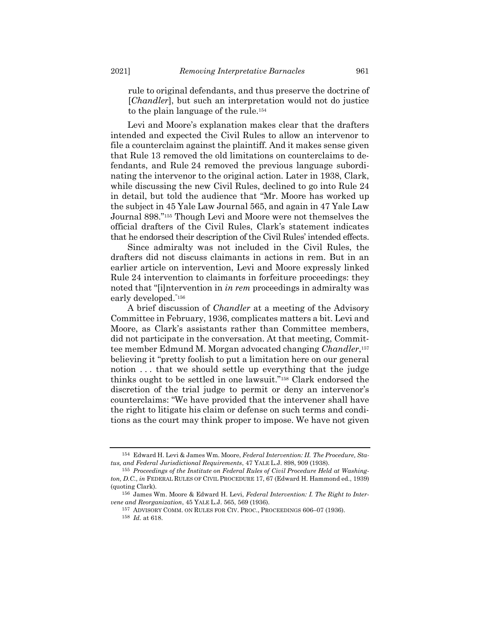<span id="page-24-1"></span>rule to original defendants, and thus preserve the doctrine of [*Chandler*], but such an interpretation would not do justice to the plain language of the rule.<sup>154</sup>

Levi and Moore's explanation makes clear that the drafters intended and expected the Civil Rules to allow an intervenor to file a counterclaim against the plaintiff. And it makes sense given that Rule 13 removed the old limitations on counterclaims to defendants, and Rule 24 removed the previous language subordinating the intervenor to the original action. Later in 1938, Clark, while discussing the new Civil Rules, declined to go into Rule 24 in detail, but told the audience that "Mr. Moore has worked up the subject in 45 Yale Law Journal 565, and again in 47 Yale Law Journal 898."<sup>155</sup> Though Levi and Moore were not themselves the official drafters of the Civil Rules, Clark's statement indicates that he endorsed their description of the Civil Rules' intended effects.

Since admiralty was not included in the Civil Rules, the drafters did not discuss claimants in actions in rem. But in an earlier article on intervention, Levi and Moore expressly linked Rule 24 intervention to claimants in forfeiture proceedings: they noted that "[i]ntervention in *in rem* proceedings in admiralty was early developed."<sup>156</sup>

<span id="page-24-0"></span>A brief discussion of *Chandler* at a meeting of the Advisory Committee in February, 1936, complicates matters a bit. Levi and Moore, as Clark's assistants rather than Committee members, did not participate in the conversation. At that meeting, Committee member Edmund M. Morgan advocated changing *Chandler*, 157 believing it "pretty foolish to put a limitation here on our general notion . . . that we should settle up everything that the judge thinks ought to be settled in one lawsuit."<sup>158</sup> Clark endorsed the discretion of the trial judge to permit or deny an intervenor's counterclaims: "We have provided that the intervener shall have the right to litigate his claim or defense on such terms and conditions as the court may think proper to impose. We have not given

<sup>154</sup> Edward H. Levi & James Wm. Moore, *Federal Intervention: II. The Procedure, Status, and Federal Jurisdictional Requirements*, 47 YALE L.J. 898, 909 (1938).

<sup>155</sup> *Proceedings of the Institute on Federal Rules of Civil Procedure Held at Washington, D.C.*, *in* FEDERAL RULES OF CIVIL PROCEDURE 17, 67 (Edward H. Hammond ed., 1939) (quoting Clark).

<sup>156</sup> James Wm. Moore & Edward H. Levi, *Federal Intervention: I. The Right to Intervene and Reorganization*, 45 YALE L.J. 565, 569 (1936).

<sup>157</sup> ADVISORY COMM. ON RULES FOR CIV. PROC., PROCEEDINGS 606–07 (1936). 158 *Id.* at 618.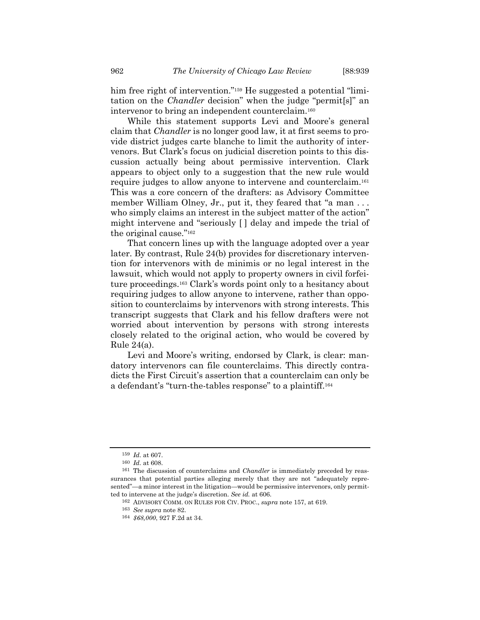him free right of intervention."<sup>159</sup> He suggested a potential "limitation on the *Chandler* decision" when the judge "permit[s]" an intervenor to bring an independent counterclaim.<sup>160</sup>

While this statement supports Levi and Moore's general claim that *Chandler* is no longer good law, it at first seems to provide district judges carte blanche to limit the authority of intervenors. But Clark's focus on judicial discretion points to this discussion actually being about permissive intervention. Clark appears to object only to a suggestion that the new rule would require judges to allow anyone to intervene and counterclaim.<sup>161</sup> This was a core concern of the drafters: as Advisory Committee member William Olney, Jr., put it, they feared that "a man ... who simply claims an interest in the subject matter of the action" might intervene and "seriously [ ] delay and impede the trial of the original cause."<sup>162</sup>

That concern lines up with the language adopted over a year later. By contrast, Rule 24(b) provides for discretionary intervention for intervenors with de minimis or no legal interest in the lawsuit, which would not apply to property owners in civil forfeiture proceedings.<sup>163</sup> Clark's words point only to a hesitancy about requiring judges to allow anyone to intervene, rather than opposition to counterclaims by intervenors with strong interests. This transcript suggests that Clark and his fellow drafters were not worried about intervention by persons with strong interests closely related to the original action, who would be covered by Rule  $24(a)$ .

Levi and Moore's writing, endorsed by Clark, is clear: mandatory intervenors can file counterclaims. This directly contradicts the First Circuit's assertion that a counterclaim can only be a defendant's "turn-the-tables response" to a plaintiff.<sup>164</sup>

<sup>159</sup> *Id.* at 607.

<sup>160</sup> *Id.* at 608.

<sup>161</sup> The discussion of counterclaims and *Chandler* is immediately preceded by reassurances that potential parties alleging merely that they are not "adequately represented"—a minor interest in the litigation—would be permissive intervenors, only permitted to intervene at the judge's discretion. *See id.* at 606.

<sup>162</sup> ADVISORY COMM. ON RULES FOR CIV. PROC., *supra* not[e 157,](#page-24-0) at 619.

<sup>163</sup> *See supra* not[e 82.](#page-12-0)

<sup>164</sup> *\$68,000*, 927 F.2d at 34.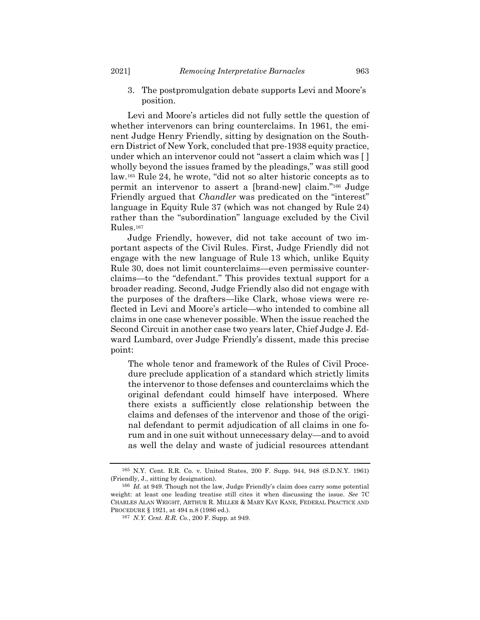3. The postpromulgation debate supports Levi and Moore's position.

Levi and Moore's articles did not fully settle the question of whether intervenors can bring counterclaims. In 1961, the eminent Judge Henry Friendly, sitting by designation on the Southern District of New York, concluded that pre-1938 equity practice, under which an intervenor could not "assert a claim which was [ ] wholly beyond the issues framed by the pleadings," was still good law.<sup>165</sup> Rule 24, he wrote, "did not so alter historic concepts as to permit an intervenor to assert a [brand-new] claim."<sup>166</sup> Judge Friendly argued that *Chandler* was predicated on the "interest" language in Equity Rule 37 (which was not changed by Rule 24) rather than the "subordination" language excluded by the Civil Rules.<sup>167</sup>

Judge Friendly, however, did not take account of two important aspects of the Civil Rules. First, Judge Friendly did not engage with the new language of Rule 13 which, unlike Equity Rule 30, does not limit counterclaims—even permissive counterclaims—to the "defendant." This provides textual support for a broader reading. Second, Judge Friendly also did not engage with the purposes of the drafters—like Clark, whose views were reflected in Levi and Moore's article—who intended to combine all claims in one case whenever possible. When the issue reached the Second Circuit in another case two years later, Chief Judge J. Edward Lumbard, over Judge Friendly's dissent, made this precise point:

The whole tenor and framework of the Rules of Civil Procedure preclude application of a standard which strictly limits the intervenor to those defenses and counterclaims which the original defendant could himself have interposed. Where there exists a sufficiently close relationship between the claims and defenses of the intervenor and those of the original defendant to permit adjudication of all claims in one forum and in one suit without unnecessary delay—and to avoid as well the delay and waste of judicial resources attendant

<sup>165</sup> N.Y. Cent. R.R. Co. v. United States, 200 F. Supp. 944, 948 (S.D.N.Y. 1961) (Friendly, J., sitting by designation).

<sup>166</sup> *Id.* at 949. Though not the law, Judge Friendly's claim does carry some potential weight: at least one leading treatise still cites it when discussing the issue. *See* 7C CHARLES ALAN WRIGHT, ARTHUR R. MILLER & MARY KAY KANE, FEDERAL PRACTICE AND PROCEDURE § 1921, at 494 n.8 (1986 ed.).

<sup>167</sup> *N.Y. Cent. R.R. Co.*, 200 F. Supp. at 949.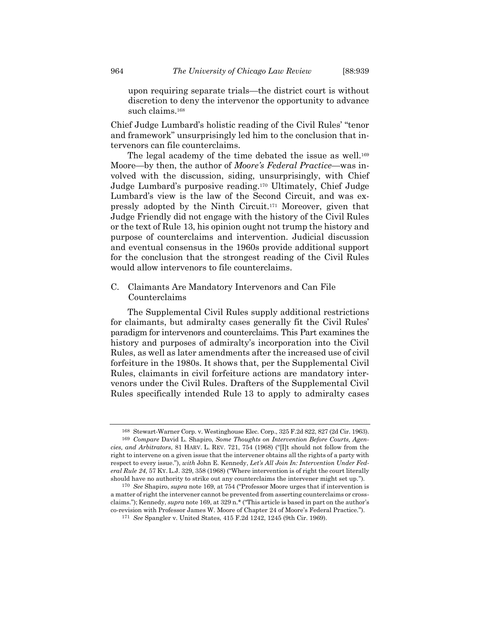<span id="page-27-0"></span>upon requiring separate trials—the district court is without discretion to deny the intervenor the opportunity to advance such claims.<sup>168</sup>

Chief Judge Lumbard's holistic reading of the Civil Rules' "tenor and framework" unsurprisingly led him to the conclusion that intervenors can file counterclaims.

The legal academy of the time debated the issue as well.<sup>169</sup> Moore—by then, the author of *Moore's Federal Practice*—was involved with the discussion, siding, unsurprisingly, with Chief Judge Lumbard's purposive reading.<sup>170</sup> Ultimately, Chief Judge Lumbard's view is the law of the Second Circuit, and was expressly adopted by the Ninth Circuit.<sup>171</sup> Moreover, given that Judge Friendly did not engage with the history of the Civil Rules or the text of Rule 13, his opinion ought not trump the history and purpose of counterclaims and intervention. Judicial discussion and eventual consensus in the 1960s provide additional support for the conclusion that the strongest reading of the Civil Rules would allow intervenors to file counterclaims.

C. Claimants Are Mandatory Intervenors and Can File Counterclaims

The Supplemental Civil Rules supply additional restrictions for claimants, but admiralty cases generally fit the Civil Rules' paradigm for intervenors and counterclaims. This Part examines the history and purposes of admiralty's incorporation into the Civil Rules, as well as later amendments after the increased use of civil forfeiture in the 1980s. It shows that, per the Supplemental Civil Rules, claimants in civil forfeiture actions are mandatory intervenors under the Civil Rules. Drafters of the Supplemental Civil Rules specifically intended Rule 13 to apply to admiralty cases

<sup>168</sup> Stewart-Warner Corp. v. Westinghouse Elec. Corp., 325 F.2d 822, 827 (2d Cir. 1963). 169 *Compare* David L. Shapiro, *Some Thoughts on Intervention Before Courts, Agencies, and Arbitrators*, 81 HARV. L. REV. 721, 754 (1968) ("[I]t should not follow from the right to intervene on a given issue that the intervener obtains all the rights of a party with respect to every issue."), *with* John E. Kennedy, *Let's All Join In: Intervention Under Federal Rule 24*, 57 KY. L.J. 329, 358 (1968) ("Where intervention is of right the court literally should have no authority to strike out any counterclaims the intervener might set up.").

<sup>170</sup> *See* Shapiro, *supra* not[e 169,](#page-27-0) at 754 ("Professor Moore urges that if intervention is a matter of right the intervener cannot be prevented from asserting counterclaims or crossclaims."); Kennedy, *supra* not[e 169,](#page-27-0) at 329 n.\* ("This article is based in part on the author's co-revision with Professor James W. Moore of Chapter 24 of Moore's Federal Practice.").

<sup>171</sup> *See* Spangler v. United States, 415 F.2d 1242, 1245 (9th Cir. 1969).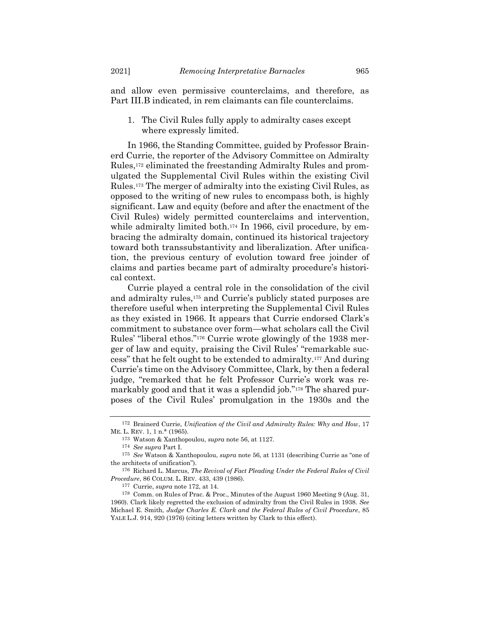and allow even permissive counterclaims, and therefore, as Part III.B indicated, in rem claimants can file counterclaims.

1. The Civil Rules fully apply to admiralty cases except where expressly limited.

<span id="page-28-0"></span>In 1966, the Standing Committee, guided by Professor Brainerd Currie, the reporter of the Advisory Committee on Admiralty Rules,<sup>172</sup> eliminated the freestanding Admiralty Rules and promulgated the Supplemental Civil Rules within the existing Civil Rules.<sup>173</sup> The merger of admiralty into the existing Civil Rules, as opposed to the writing of new rules to encompass both, is highly significant. Law and equity (before and after the enactment of the Civil Rules) widely permitted counterclaims and intervention, while admiralty limited both.<sup>174</sup> In 1966, civil procedure, by embracing the admiralty domain, continued its historical trajectory toward both transsubstantivity and liberalization. After unification, the previous century of evolution toward free joinder of claims and parties became part of admiralty procedure's historical context.

Currie played a central role in the consolidation of the civil and admiralty rules,<sup>175</sup> and Currie's publicly stated purposes are therefore useful when interpreting the Supplemental Civil Rules as they existed in 1966. It appears that Currie endorsed Clark's commitment to substance over form—what scholars call the Civil Rules' "liberal ethos."<sup>176</sup> Currie wrote glowingly of the 1938 merger of law and equity, praising the Civil Rules' "remarkable success" that he felt ought to be extended to admiralty.<sup>177</sup> And during Currie's time on the Advisory Committee, Clark, by then a federal judge, "remarked that he felt Professor Currie's work was remarkably good and that it was a splendid job."<sup>178</sup> The shared purposes of the Civil Rules' promulgation in the 1930s and the

<sup>172</sup> Brainerd Currie, *Unification of the Civil and Admiralty Rules: Why and How*, 17 ME. L. REV. 1, 1 n.\* (1965).

<sup>173</sup> Watson & Xanthopoulou, *supra* note [56,](#page-8-0) at 1127.

<sup>174</sup> *See supra* Part I.

<sup>175</sup> *See* Watson & Xanthopoulou, *supra* note [56,](#page-8-0) at 1131 (describing Currie as "one of the architects of unification").

<sup>176</sup> Richard L. Marcus, *The Revival of Fact Pleading Under the Federal Rules of Civil Procedure*, 86 COLUM. L. REV. 433, 439 (1986).

<sup>177</sup> Currie, *supra* not[e 172,](#page-28-0) at 14.

<sup>178</sup> Comm. on Rules of Prac. & Proc., Minutes of the August 1960 Meeting 9 (Aug. 31, 1960). Clark likely regretted the exclusion of admiralty from the Civil Rules in 1938. *See* Michael E. Smith, *Judge Charles E. Clark and the Federal Rules of Civil Procedure*, 85 YALE L.J. 914, 920 (1976) (citing letters written by Clark to this effect).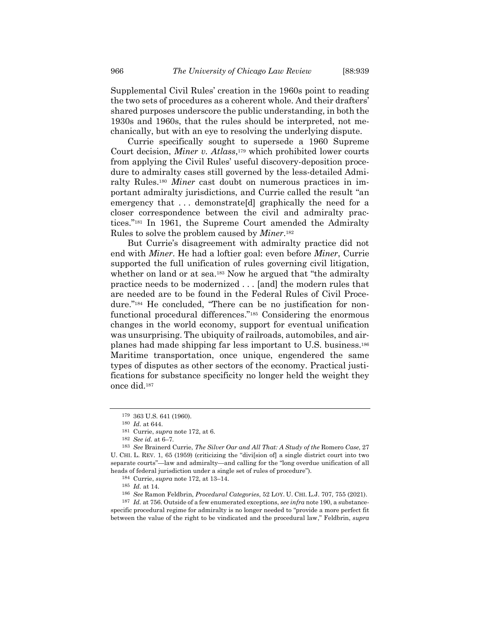Supplemental Civil Rules' creation in the 1960s point to reading the two sets of procedures as a coherent whole. And their drafters' shared purposes underscore the public understanding, in both the 1930s and 1960s, that the rules should be interpreted, not mechanically, but with an eye to resolving the underlying dispute.

Currie specifically sought to supersede a 1960 Supreme Court decision, *Miner v. Atlass*, <sup>179</sup> which prohibited lower courts from applying the Civil Rules' useful discovery-deposition procedure to admiralty cases still governed by the less-detailed Admiralty Rules.<sup>180</sup> *Miner* cast doubt on numerous practices in important admiralty jurisdictions, and Currie called the result "an emergency that ... demonstrate [d] graphically the need for a closer correspondence between the civil and admiralty practices."<sup>181</sup> In 1961, the Supreme Court amended the Admiralty Rules to solve the problem caused by *Miner*. 182

But Currie's disagreement with admiralty practice did not end with *Miner*. He had a loftier goal: even before *Miner*, Currie supported the full unification of rules governing civil litigation, whether on land or at sea.<sup>183</sup> Now he argued that "the admiralty" practice needs to be modernized . . . [and] the modern rules that are needed are to be found in the Federal Rules of Civil Procedure."<sup>184</sup> He concluded, "There can be no justification for nonfunctional procedural differences."<sup>185</sup> Considering the enormous changes in the world economy, support for eventual unification was unsurprising. The ubiquity of railroads, automobiles, and airplanes had made shipping far less important to U.S. business.<sup>186</sup> Maritime transportation, once unique, engendered the same types of disputes as other sectors of the economy. Practical justifications for substance specificity no longer held the weight they once did.<sup>187</sup>

187 *Id.* at 756. Outside of a few enumerated exceptions, *see infra* not[e 190,](#page-30-0) a substancespecific procedural regime for admiralty is no longer needed to "provide a more perfect fit between the value of the right to be vindicated and the procedural law," Feldbrin, *supra*

<span id="page-29-0"></span><sup>179</sup> 363 U.S. 641 (1960).

<sup>180</sup> *Id.* at 644.

<sup>181</sup> Currie, *supra* not[e 172,](#page-28-0) at 6.

<sup>182</sup> *See id.* at 6–7.

<sup>183</sup> *See* Brainerd Currie, *The Silver Oar and All That: A Study of the* Romero *Case*, 27 U. CHI. L. REV. 1, 65 (1959) (criticizing the "divi[sion of] a single district court into two separate courts"—law and admiralty—and calling for the "long overdue unification of all heads of federal jurisdiction under a single set of rules of procedure").

<sup>184</sup> Currie, *supra* not[e 172,](#page-28-0) at 13–14.

<sup>185</sup> *Id.* at 14.

<sup>186</sup> *See* Ramon Feldbrin, *Procedural Categories*, 52 LOY. U. CHI. L.J. 707, 755 (2021).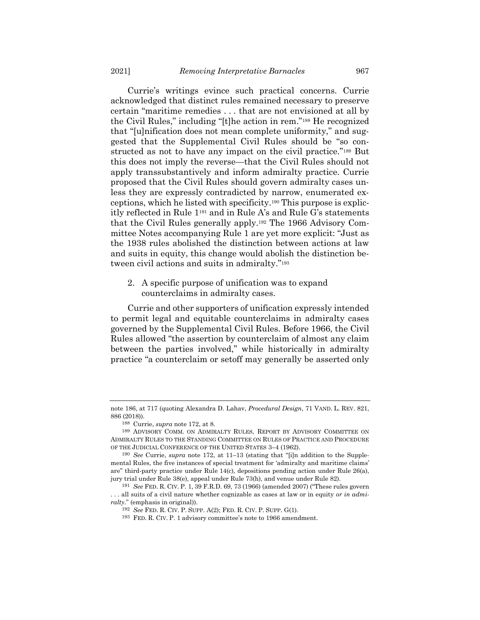Currie's writings evince such practical concerns. Currie acknowledged that distinct rules remained necessary to preserve certain "maritime remedies . . . that are not envisioned at all by the Civil Rules," including "[t]he action in rem."<sup>188</sup> He recognized that "[u]nification does not mean complete uniformity," and suggested that the Supplemental Civil Rules should be "so constructed as not to have any impact on the civil practice."<sup>189</sup> But this does not imply the reverse—that the Civil Rules should not apply transsubstantively and inform admiralty practice. Currie proposed that the Civil Rules should govern admiralty cases unless they are expressly contradicted by narrow, enumerated exceptions, which he listed with specificity.<sup>190</sup> This purpose is explicitly reflected in Rule 1<sup>191</sup> and in Rule A's and Rule G's statements that the Civil Rules generally apply.<sup>192</sup> The 1966 Advisory Committee Notes accompanying Rule 1 are yet more explicit: "Just as the 1938 rules abolished the distinction between actions at law and suits in equity, this change would abolish the distinction between civil actions and suits in admiralty."<sup>193</sup>

<span id="page-30-0"></span>2. A specific purpose of unification was to expand counterclaims in admiralty cases.

Currie and other supporters of unification expressly intended to permit legal and equitable counterclaims in admiralty cases governed by the Supplemental Civil Rules. Before 1966, the Civil Rules allowed "the assertion by counterclaim of almost any claim between the parties involved," while historically in admiralty practice "a counterclaim or setoff may generally be asserted only

not[e 186,](#page-29-0) at 717 (quoting Alexandra D. Lahav, *Procedural Design*, 71 VAND. L. REV. 821, 886 (2018)).

<sup>188</sup> Currie, *supra* not[e 172,](#page-28-0) at 8.

<sup>189</sup> ADVISORY COMM. ON ADMIRALTY RULES, REPORT BY ADVISORY COMMITTEE ON ADMIRALTY RULES TO THE STANDING COMMITTEE ON RULES OF PRACTICE AND PROCEDURE OF THE JUDICIAL CONFERENCE OF THE UNITED STATES 3–4 (1962).

<sup>190</sup> *See* Currie, *supra* note [172,](#page-28-0) at 11–13 (stating that "[i]n addition to the Supplemental Rules, the five instances of special treatment for 'admiralty and maritime claims' are" third-party practice under Rule 14(c), depositions pending action under Rule 26(a), jury trial under Rule 38(e), appeal under Rule 73(h), and venue under Rule 82).

<sup>191</sup> *See* FED. R. CIV. P. 1, 39 F.R.D. 69, 73 (1966) (amended 2007) ("These rules govern . . . all suits of a civil nature whether cognizable as cases at law or in equity *or in admiralty*." (emphasis in original)).

<sup>192</sup> *See* FED. R. CIV. P. SUPP. A(2); FED. R. CIV. P. SUPP. G(1).

<sup>193</sup> FED. R. CIV. P. 1 advisory committee's note to 1966 amendment.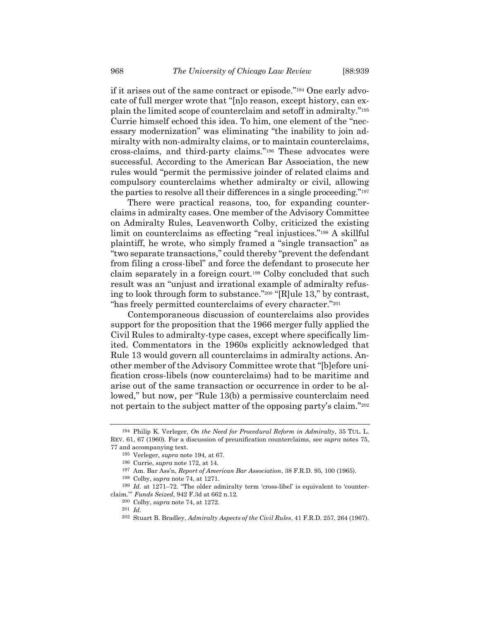<span id="page-31-0"></span>if it arises out of the same contract or episode."<sup>194</sup> One early advocate of full merger wrote that "[n]o reason, except history, can explain the limited scope of counterclaim and setoff in admiralty."<sup>195</sup> Currie himself echoed this idea. To him, one element of the "necessary modernization" was eliminating "the inability to join admiralty with non-admiralty claims, or to maintain counterclaims, cross-claims, and third-party claims."<sup>196</sup> These advocates were successful. According to the American Bar Association, the new rules would "permit the permissive joinder of related claims and compulsory counterclaims whether admiralty or civil, allowing the parties to resolve all their differences in a single proceeding."<sup>197</sup>

There were practical reasons, too, for expanding counterclaims in admiralty cases. One member of the Advisory Committee on Admiralty Rules, Leavenworth Colby, criticized the existing limit on counterclaims as effecting "real injustices."<sup>198</sup> A skillful plaintiff, he wrote, who simply framed a "single transaction" as "two separate transactions," could thereby "prevent the defendant from filing a cross-libel" and force the defendant to prosecute her claim separately in a foreign court.<sup>199</sup> Colby concluded that such result was an "unjust and irrational example of admiralty refusing to look through form to substance."<sup>200</sup> "[R]ule 13," by contrast, "has freely permitted counterclaims of every character."<sup>201</sup>

Contemporaneous discussion of counterclaims also provides support for the proposition that the 1966 merger fully applied the Civil Rules to admiralty-type cases, except where specifically limited. Commentators in the 1960s explicitly acknowledged that Rule 13 would govern all counterclaims in admiralty actions. Another member of the Advisory Committee wrote that "[b]efore unification cross-libels (now counterclaims) had to be maritime and arise out of the same transaction or occurrence in order to be allowed," but now, per "Rule 13(b) a permissive counterclaim need not pertain to the subject matter of the opposing party's claim."<sup>202</sup>

<sup>194</sup> Philip K. Verleger, *On the Need for Procedural Reform in Admiralty*, 35 TUL. L. REV. 61, 67 (1960). For a discussion of preunification counterclaims, see *supra* notes [75,](#page-10-0)  [77](#page-11-1) and accompanying text.

<sup>195</sup> Verleger, *supra* note [194,](#page-31-0) at 67.

<sup>196</sup> Currie, *supra* note [172,](#page-28-0) at 14.

<sup>197</sup> Am. Bar Ass'n, *Report of American Bar Association*, 38 F.R.D. 95, 100 (1965).

<sup>198</sup> Colby, *supra* note [74,](#page-10-2) at 1271.

<sup>199</sup> *Id.* at 1271–72. "The older admiralty term 'cross-libel' is equivalent to 'counterclaim.'" *Funds Seized*, 942 F.3d at 662 n.12.

<sup>200</sup> Colby, *supra* note [74,](#page-10-2) at 1272.

<sup>201</sup> *Id.*

<sup>202</sup> Stuart B. Bradley, *Admiralty Aspects of the Civil Rules*, 41 F.R.D. 257, 264 (1967).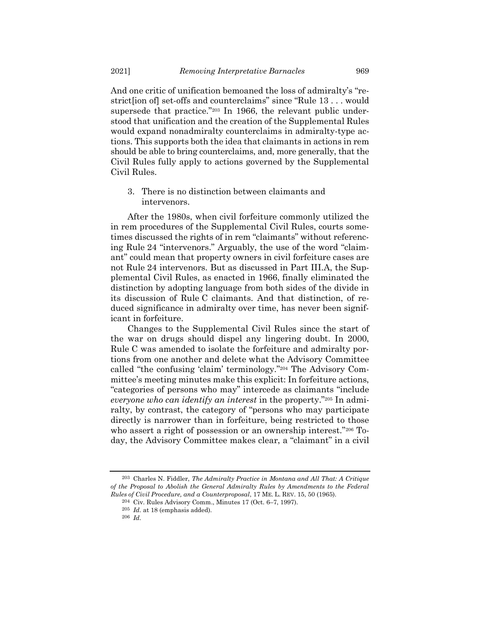And one critic of unification bemoaned the loss of admiralty's "restrict[ion of] set-offs and counterclaims" since "Rule 13 . . . would supersede that practice."<sup>203</sup> In 1966, the relevant public understood that unification and the creation of the Supplemental Rules would expand nonadmiralty counterclaims in admiralty-type actions. This supports both the idea that claimants in actions in rem should be able to bring counterclaims, and, more generally, that the Civil Rules fully apply to actions governed by the Supplemental Civil Rules.

3. There is no distinction between claimants and intervenors.

After the 1980s, when civil forfeiture commonly utilized the in rem procedures of the Supplemental Civil Rules, courts sometimes discussed the rights of in rem "claimants" without referencing Rule 24 "intervenors." Arguably, the use of the word "claimant" could mean that property owners in civil forfeiture cases are not Rule 24 intervenors. But as discussed in Part III.A, the Supplemental Civil Rules, as enacted in 1966, finally eliminated the distinction by adopting language from both sides of the divide in its discussion of Rule C claimants. And that distinction, of reduced significance in admiralty over time, has never been significant in forfeiture.

Changes to the Supplemental Civil Rules since the start of the war on drugs should dispel any lingering doubt. In 2000, Rule C was amended to isolate the forfeiture and admiralty portions from one another and delete what the Advisory Committee called "the confusing 'claim' terminology."<sup>204</sup> The Advisory Committee's meeting minutes make this explicit: In forfeiture actions, "categories of persons who may" intercede as claimants "include *everyone who can identify an interest* in the property."<sup>205</sup> In admiralty, by contrast, the category of "persons who may participate directly is narrower than in forfeiture, being restricted to those who assert a right of possession or an ownership interest."<sup>206</sup> Today, the Advisory Committee makes clear, a "claimant" in a civil

<sup>203</sup> Charles N. Fiddler, *The Admiralty Practice in Montana and All That: A Critique of the Proposal to Abolish the General Admiralty Rules by Amendments to the Federal Rules of Civil Procedure, and a Counterproposal*, 17 ME. L. REV. 15, 50 (1965).

<sup>204</sup> Civ. Rules Advisory Comm., Minutes 17 (Oct. 6–7, 1997).

<sup>205</sup> *Id.* at 18 (emphasis added).

<sup>206</sup> *Id.*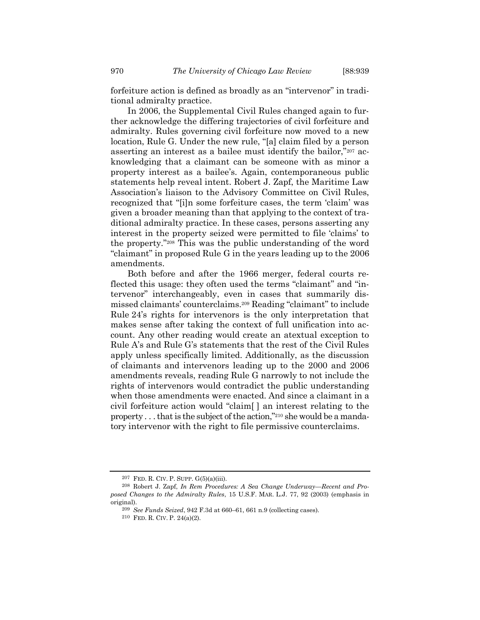forfeiture action is defined as broadly as an "intervenor" in traditional admiralty practice.

In 2006, the Supplemental Civil Rules changed again to further acknowledge the differing trajectories of civil forfeiture and admiralty. Rules governing civil forfeiture now moved to a new location, Rule G. Under the new rule, "[a] claim filed by a person asserting an interest as a bailee must identify the bailor,"<sup>207</sup> acknowledging that a claimant can be someone with as minor a property interest as a bailee's. Again, contemporaneous public statements help reveal intent. Robert J. Zapf, the Maritime Law Association's liaison to the Advisory Committee on Civil Rules, recognized that "[i]n some forfeiture cases, the term 'claim' was given a broader meaning than that applying to the context of traditional admiralty practice. In these cases, persons asserting any interest in the property seized were permitted to file 'claims' to the property."<sup>208</sup> This was the public understanding of the word "claimant" in proposed Rule G in the years leading up to the 2006 amendments.

Both before and after the 1966 merger, federal courts reflected this usage: they often used the terms "claimant" and "intervenor" interchangeably, even in cases that summarily dismissed claimants' counterclaims.<sup>209</sup> Reading "claimant" to include Rule 24's rights for intervenors is the only interpretation that makes sense after taking the context of full unification into account. Any other reading would create an atextual exception to Rule A's and Rule G's statements that the rest of the Civil Rules apply unless specifically limited. Additionally, as the discussion of claimants and intervenors leading up to the 2000 and 2006 amendments reveals, reading Rule G narrowly to not include the rights of intervenors would contradict the public understanding when those amendments were enacted. And since a claimant in a civil forfeiture action would "claim[ ] an interest relating to the property . . . that is the subject of the action,"<sup>210</sup> she would be a mandatory intervenor with the right to file permissive counterclaims.

<sup>207</sup> FED. R. CIV. P. SUPP. G(5)(a)(iii).

<sup>208</sup> Robert J. Zapf, *In Rem Procedures: A Sea Change Underway—Recent and Proposed Changes to the Admiralty Rules*, 15 U.S.F. MAR. L.J. 77, 92 (2003) (emphasis in original).

<sup>209</sup> *See Funds Seized*, 942 F.3d at 660–61, 661 n.9 (collecting cases).

<sup>210</sup> FED. R. CIV. P. 24(a)(2).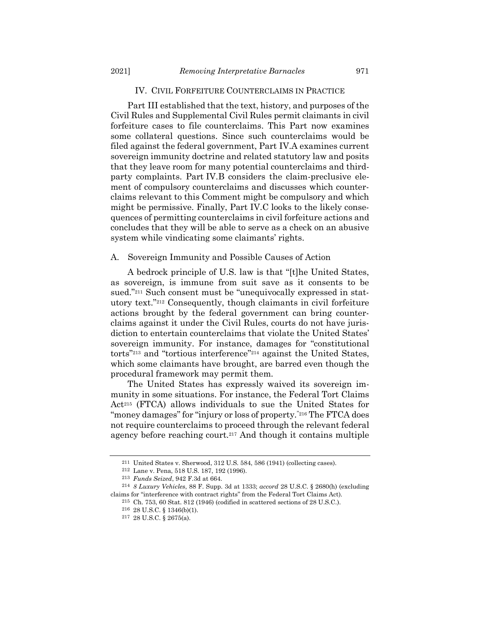#### IV. CIVIL FORFEITURE COUNTERCLAIMS IN PRACTICE

Part III established that the text, history, and purposes of the Civil Rules and Supplemental Civil Rules permit claimants in civil forfeiture cases to file counterclaims. This Part now examines some collateral questions. Since such counterclaims would be filed against the federal government, Part IV.A examines current sovereign immunity doctrine and related statutory law and posits that they leave room for many potential counterclaims and thirdparty complaints. Part IV.B considers the claim-preclusive element of compulsory counterclaims and discusses which counterclaims relevant to this Comment might be compulsory and which might be permissive. Finally, Part IV.C looks to the likely consequences of permitting counterclaims in civil forfeiture actions and concludes that they will be able to serve as a check on an abusive system while vindicating some claimants' rights.

#### A. Sovereign Immunity and Possible Causes of Action

A bedrock principle of U.S. law is that "[t]he United States, as sovereign, is immune from suit save as it consents to be sued."<sup>211</sup> Such consent must be "unequivocally expressed in statutory text."<sup>212</sup> Consequently, though claimants in civil forfeiture actions brought by the federal government can bring counterclaims against it under the Civil Rules, courts do not have jurisdiction to entertain counterclaims that violate the United States' sovereign immunity. For instance, damages for "constitutional torts"<sup>213</sup> and "tortious interference" <sup>214</sup> against the United States, which some claimants have brought, are barred even though the procedural framework may permit them.

The United States has expressly waived its sovereign immunity in some situations. For instance, the Federal Tort Claims Act<sup>215</sup> (FTCA) allows individuals to sue the United States for "money damages" for "injury or loss of property."<sup>216</sup> The FTCA does not require counterclaims to proceed through the relevant federal agency before reaching court.<sup>217</sup> And though it contains multiple

<span id="page-34-0"></span><sup>211</sup> United States v. Sherwood, 312 U.S. 584, 586 (1941) (collecting cases).

<sup>212</sup> Lane v. Pena, 518 U.S. 187, 192 (1996).

<sup>213</sup> *Funds Seized*, 942 F.3d at 664.

<sup>214</sup> *8 Luxury Vehicles*, 88 F. Supp. 3d at 1333; *accord* 28 U.S.C. § 2680(h) (excluding claims for "interference with contract rights" from the Federal Tort Claims Act).

<sup>215</sup> Ch. 753, 60 Stat. 812 (1946) (codified in scattered sections of 28 U.S.C.).

<sup>216</sup> 28 U.S.C. § 1346(b)(1).

<sup>217</sup> 28 U.S.C. § 2675(a).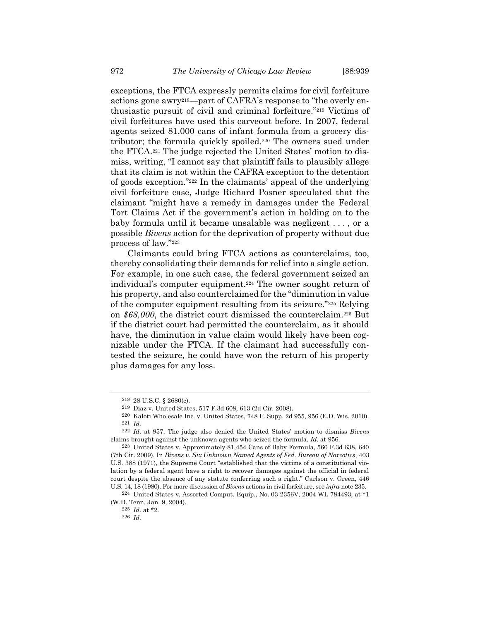exceptions, the FTCA expressly permits claims for civil forfeiture actions gone awry218—part of CAFRA's response to "the overly enthusiastic pursuit of civil and criminal forfeiture."<sup>219</sup> Victims of civil forfeitures have used this carveout before. In 2007, federal agents seized 81,000 cans of infant formula from a grocery distributor; the formula quickly spoiled.<sup>220</sup> The owners sued under the FTCA.<sup>221</sup> The judge rejected the United States' motion to dismiss, writing, "I cannot say that plaintiff fails to plausibly allege that its claim is not within the CAFRA exception to the detention of goods exception."<sup>222</sup> In the claimants' appeal of the underlying civil forfeiture case, Judge Richard Posner speculated that the claimant "might have a remedy in damages under the Federal Tort Claims Act if the government's action in holding on to the baby formula until it became unsalable was negligent . . . , or a possible *Bivens* action for the deprivation of property without due process of law."<sup>223</sup>

Claimants could bring FTCA actions as counterclaims, too, thereby consolidating their demands for relief into a single action. For example, in one such case, the federal government seized an individual's computer equipment.<sup>224</sup> The owner sought return of his property, and also counterclaimed for the "diminution in value of the computer equipment resulting from its seizure."<sup>225</sup> Relying on *\$68,000*, the district court dismissed the counterclaim.<sup>226</sup> But if the district court had permitted the counterclaim, as it should have, the diminution in value claim would likely have been cognizable under the FTCA. If the claimant had successfully contested the seizure, he could have won the return of his property plus damages for any loss.

<sup>218</sup> 28 U.S.C. § 2680(c).

<sup>219</sup> Diaz v. United States, 517 F.3d 608, 613 (2d Cir. 2008).

<sup>220</sup> Kaloti Wholesale Inc. v. United States, 748 F. Supp. 2d 955, 956 (E.D. Wis. 2010). 221 *Id.*

<sup>222</sup> *Id.* at 957. The judge also denied the United States' motion to dismiss *Bivens* claims brought against the unknown agents who seized the formula. *Id.* at 956.

<sup>223</sup> United States v. Approximately 81,454 Cans of Baby Formula, 560 F.3d 638, 640 (7th Cir. 2009). In *Bivens v. Six Unknown Named Agents of Fed. Bureau of Narcotics*, 403 U.S. 388 (1971), the Supreme Court "established that the victims of a constitutional violation by a federal agent have a right to recover damages against the official in federal court despite the absence of any statute conferring such a right." Carlson v. Green, 446 U.S. 14, 18 (1980). For more discussion of *Bivens* actions in civil forfeiture, see *infra* not[e 235.](#page-37-0)

<sup>224</sup> United States v. Assorted Comput. Equip., No. 03-2356V, 2004 WL 784493, at \*1 (W.D. Tenn. Jan. 9, 2004).

<sup>225</sup> *Id.* at \*2.

<sup>226</sup> *Id.*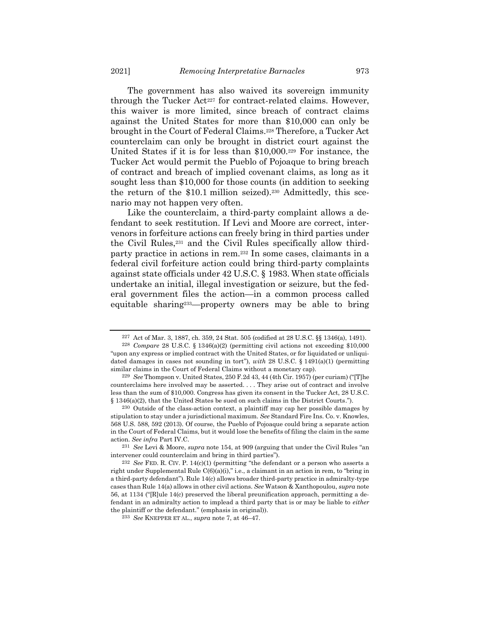The government has also waived its sovereign immunity through the Tucker Act<sup>227</sup> for contract-related claims. However, this waiver is more limited, since breach of contract claims against the United States for more than \$10,000 can only be brought in the Court of Federal Claims.<sup>228</sup> Therefore, a Tucker Act counterclaim can only be brought in district court against the United States if it is for less than \$10,000.<sup>229</sup> For instance, the Tucker Act would permit the Pueblo of Pojoaque to bring breach of contract and breach of implied covenant claims, as long as it sought less than \$10,000 for those counts (in addition to seeking the return of the \$10.1 million seized).<sup>230</sup> Admittedly, this scenario may not happen very often.

Like the counterclaim, a third-party complaint allows a defendant to seek restitution. If Levi and Moore are correct, intervenors in forfeiture actions can freely bring in third parties under the Civil Rules,<sup>231</sup> and the Civil Rules specifically allow thirdparty practice in actions in rem.<sup>232</sup> In some cases, claimants in a federal civil forfeiture action could bring third-party complaints against state officials under 42 U.S.C. § 1983. When state officials undertake an initial, illegal investigation or seizure, but the federal government files the action—in a common process called equitable sharing233—property owners may be able to bring

<sup>227</sup> Act of Mar. 3, 1887, ch. 359, 24 Stat. 505 (codified at 28 U.S.C. §§ 1346(a), 1491).

<sup>228</sup> *Compare* 28 U.S.C. § 1346(a)(2) (permitting civil actions not exceeding \$10,000 "upon any express or implied contract with the United States, or for liquidated or unliquidated damages in cases not sounding in tort"), *with* 28 U.S.C. § 1491(a)(1) (permitting similar claims in the Court of Federal Claims without a monetary cap).

<sup>229</sup> *See* Thompson v. United States, 250 F.2d 43, 44 (4th Cir. 1957) (per curiam) ("[T]he counterclaims here involved may be asserted. . . . They arise out of contract and involve less than the sum of \$10,000. Congress has given its consent in the Tucker Act, 28 U.S.C. § 1346(a)(2), that the United States be sued on such claims in the District Courts.").

<sup>230</sup> Outside of the class-action context, a plaintiff may cap her possible damages by stipulation to stay under a jurisdictional maximum. *See* Standard Fire Ins. Co. v. Knowles, 568 U.S. 588, 592 (2013). Of course, the Pueblo of Pojoaque could bring a separate action in the Court of Federal Claims, but it would lose the benefits of filing the claim in the same action. *See infra* Part IV.C.

<sup>231</sup> *See* Levi & Moore, *supra* note [154,](#page-24-1) at 909 (arguing that under the Civil Rules "an intervener could counterclaim and bring in third parties").

<sup>232</sup> *See* FED. R. CIV. P. 14(c)(1) (permitting "the defendant or a person who asserts a right under Supplemental Rule  $C(6)(a)(i)$ ," i.e., a claimant in an action in rem, to "bring in a third-party defendant"). Rule 14(c) allows broader third-party practice in admiralty-type cases than Rule 14(a) allows in other civil actions. *See* Watson & Xanthopoulou, *supra* note [56,](#page-8-0) at 1134 ("[R]ule 14(c) preserved the liberal preunification approach, permitting a defendant in an admiralty action to implead a third party that is or may be liable to *either* the plaintiff *or* the defendant." (emphasis in original)).

<sup>233</sup> *See* KNEPPER ET AL., *supra* note [7,](#page-2-0) at 46–47.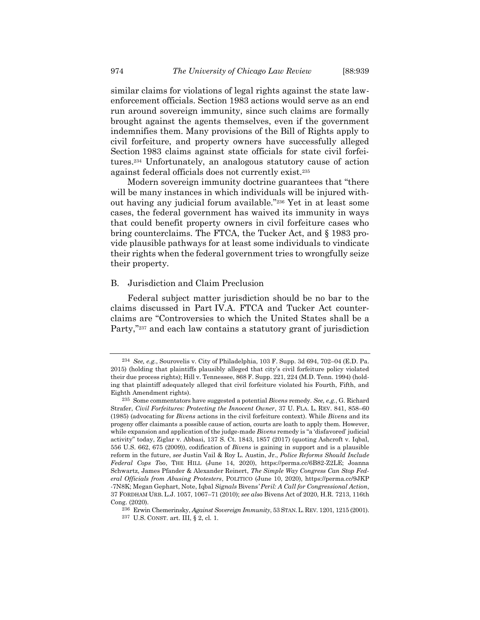<span id="page-37-0"></span>

similar claims for violations of legal rights against the state lawenforcement officials. Section 1983 actions would serve as an end run around sovereign immunity, since such claims are formally brought against the agents themselves, even if the government indemnifies them. Many provisions of the Bill of Rights apply to civil forfeiture, and property owners have successfully alleged Section 1983 claims against state officials for state civil forfeitures.<sup>234</sup> Unfortunately, an analogous statutory cause of action against federal officials does not currently exist.<sup>235</sup>

Modern sovereign immunity doctrine guarantees that "there will be many instances in which individuals will be injured without having any judicial forum available."<sup>236</sup> Yet in at least some cases, the federal government has waived its immunity in ways that could benefit property owners in civil forfeiture cases who bring counterclaims. The FTCA, the Tucker Act, and § 1983 provide plausible pathways for at least some individuals to vindicate their rights when the federal government tries to wrongfully seize their property.

#### B. Jurisdiction and Claim Preclusion

Federal subject matter jurisdiction should be no bar to the claims discussed in Part IV.A. FTCA and Tucker Act counterclaims are "Controversies to which the United States shall be a Party,"<sup>237</sup> and each law contains a statutory grant of jurisdiction

<sup>234</sup> *See, e.g.*, Sourovelis v. City of Philadelphia, 103 F. Supp. 3d 694, 702–04 (E.D. Pa. 2015) (holding that plaintiffs plausibly alleged that city's civil forfeiture policy violated their due process rights); Hill v. Tennessee, 868 F. Supp. 221, 224 (M.D. Tenn. 1994) (holding that plaintiff adequately alleged that civil forfeiture violated his Fourth, Fifth, and Eighth Amendment rights).

<sup>235</sup> Some commentators have suggested a potential *Bivens* remedy. *See, e.g.*, G. Richard Strafer, *Civil Forfeitures: Protecting the Innocent Owner*, 37 U. FLA. L. REV. 841, 858–60 (1985) (advocating for *Bivens* actions in the civil forfeiture context). While *Bivens* and its progeny offer claimants a possible cause of action, courts are loath to apply them. However, while expansion and application of the judge-made *Bivens* remedy is "a 'disfavored' judicial activity" today, Ziglar v. Abbasi, 137 S. Ct. 1843, 1857 (2017) (quoting Ashcroft v. Iqbal, 556 U.S. 662, 675 (2009)), codification of *Bivens* is gaining in support and is a plausible reform in the future, *see* Justin Vail & Roy L. Austin, Jr., *Police Reforms Should Include Federal Cops Too*, THE HILL (June 14, 2020), https://perma.cc/6B82-Z2LE; Joanna Schwartz, James Pfander & Alexander Reinert, *The Simple Way Congress Can Stop Federal Officials from Abusing Protesters*, POLITICO (June 10, 2020), https://perma.cc/9JKP -7N8K; Megan Gephart, Note, Iqbal *Signals* Bivens*' Peril: A Call for Congressional Action*, 37 FORDHAM URB. L.J. 1057, 1067–71 (2010); *see also* Bivens Act of 2020, H.R. 7213, 116th Cong. (2020).

<sup>236</sup> Erwin Chemerinsky, *Against Sovereign Immunity*, 53 STAN.L. REV. 1201, 1215 (2001). 237 U.S. CONST. art. III, § 2, cl. 1.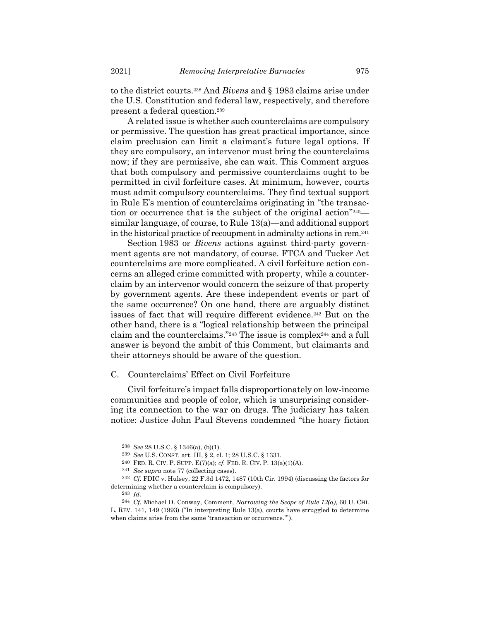to the district courts.<sup>238</sup> And *Bivens* and § 1983 claims arise under the U.S. Constitution and federal law, respectively, and therefore present a federal question.<sup>239</sup>

A related issue is whether such counterclaims are compulsory or permissive. The question has great practical importance, since claim preclusion can limit a claimant's future legal options. If they are compulsory, an intervenor must bring the counterclaims now; if they are permissive, she can wait. This Comment argues that both compulsory and permissive counterclaims ought to be permitted in civil forfeiture cases. At minimum, however, courts must admit compulsory counterclaims. They find textual support in Rule E's mention of counterclaims originating in "the transaction or occurrence that is the subject of the original action"240 similar language, of course, to Rule 13(a)—and additional support in the historical practice of recoupment in admiralty actions in rem.<sup>241</sup>

Section 1983 or *Bivens* actions against third-party government agents are not mandatory, of course. FTCA and Tucker Act counterclaims are more complicated. A civil forfeiture action concerns an alleged crime committed with property, while a counterclaim by an intervenor would concern the seizure of that property by government agents. Are these independent events or part of the same occurrence? On one hand, there are arguably distinct issues of fact that will require different evidence.<sup>242</sup> But on the other hand, there is a "logical relationship between the principal claim and the counterclaims."<sup>243</sup> The issue is complex<sup>244</sup> and a full answer is beyond the ambit of this Comment, but claimants and their attorneys should be aware of the question.

# C. Counterclaims' Effect on Civil Forfeiture

Civil forfeiture's impact falls disproportionately on low-income communities and people of color, which is unsurprising considering its connection to the war on drugs. The judiciary has taken notice: Justice John Paul Stevens condemned "the hoary fiction

<sup>238</sup> *See* 28 U.S.C. § 1346(a), (b)(1).

<sup>239</sup> *See* U.S. CONST. art. III, § 2, cl. 1; 28 U.S.C. § 1331.

<sup>240</sup> FED. R. CIV. P. SUPP. E(7)(a); *cf.* FED. R. CIV. P. 13(a)(1)(A).

<sup>241</sup> *See supra* not[e 77](#page-11-1) (collecting cases).

<sup>242</sup> *Cf.* FDIC v. Hulsey, 22 F.3d 1472, 1487 (10th Cir. 1994) (discussing the factors for determining whether a counterclaim is compulsory).

<sup>243</sup> *Id.*

<sup>244</sup> *Cf.* Michael D. Conway, Comment, *Narrowing the Scope of Rule 13(a)*, 60 U. CHI. L. REV. 141, 149 (1993) ("In interpreting Rule 13(a), courts have struggled to determine when claims arise from the same 'transaction or occurrence.'").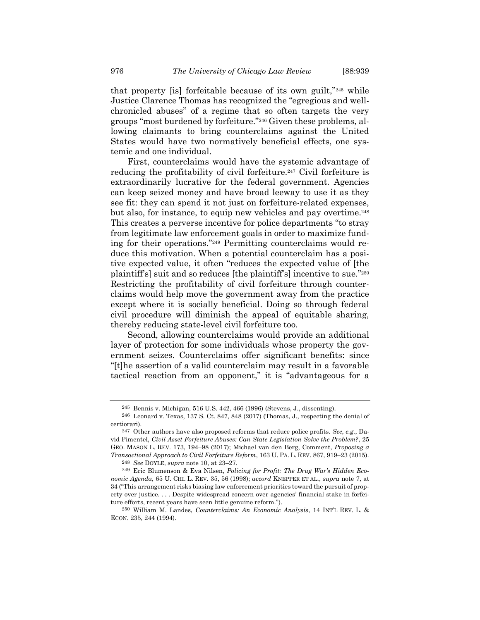that property [is] forfeitable because of its own guilt,"<sup>245</sup> while Justice Clarence Thomas has recognized the "egregious and wellchronicled abuses" of a regime that so often targets the very groups "most burdened by forfeiture."<sup>246</sup> Given these problems, allowing claimants to bring counterclaims against the United States would have two normatively beneficial effects, one systemic and one individual.

First, counterclaims would have the systemic advantage of reducing the profitability of civil forfeiture.<sup>247</sup> Civil forfeiture is extraordinarily lucrative for the federal government. Agencies can keep seized money and have broad leeway to use it as they see fit: they can spend it not just on forfeiture-related expenses, but also, for instance, to equip new vehicles and pay overtime.<sup>248</sup> This creates a perverse incentive for police departments "to stray from legitimate law enforcement goals in order to maximize funding for their operations."<sup>249</sup> Permitting counterclaims would reduce this motivation. When a potential counterclaim has a positive expected value, it often "reduces the expected value of [the plaintiff's] suit and so reduces [the plaintiff's] incentive to sue."<sup>250</sup> Restricting the profitability of civil forfeiture through counterclaims would help move the government away from the practice except where it is socially beneficial. Doing so through federal civil procedure will diminish the appeal of equitable sharing, thereby reducing state-level civil forfeiture too.

Second, allowing counterclaims would provide an additional layer of protection for some individuals whose property the government seizes. Counterclaims offer significant benefits: since "[t]he assertion of a valid counterclaim may result in a favorable tactical reaction from an opponent," it is "advantageous for a

<sup>245</sup> Bennis v. Michigan, 516 U.S. 442, 466 (1996) (Stevens, J., dissenting).

<sup>246</sup> Leonard v. Texas, 137 S. Ct. 847, 848 (2017) (Thomas, J., respecting the denial of certiorari).

<sup>247</sup> Other authors have also proposed reforms that reduce police profits. *See, e.g.*, David Pimentel, *Civil Asset Forfeiture Abuses: Can State Legislation Solve the Problem?*, 25 GEO. MASON L. REV. 173, 194–98 (2017); Michael van den Berg, Comment, *Proposing a Transactional Approach to Civil Forfeiture Reform*, 163 U. PA. L. REV. 867, 919–23 (2015).

<sup>248</sup> *See* DOYLE, *supra* not[e 10,](#page-2-1) at 23–27.

<sup>249</sup> Eric Blumenson & Eva Nilsen, *Policing for Profit: The Drug War's Hidden Economic Agenda*, 65 U. CHI. L. REV. 35, 56 (1998); *accord* KNEPPER ET AL., *supra* note [7,](#page-2-0) at 34 ("This arrangement risks biasing law enforcement priorities toward the pursuit of property over justice. . . . Despite widespread concern over agencies' financial stake in forfeiture efforts, recent years have seen little genuine reform.").

<sup>250</sup> William M. Landes, *Counterclaims: An Economic Analysis*, 14 INT'L REV. L. & ECON. 235, 244 (1994).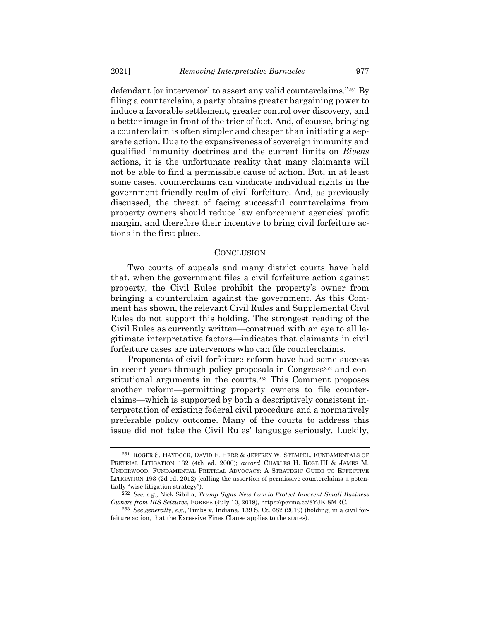defendant [or intervenor] to assert any valid counterclaims."<sup>251</sup> By filing a counterclaim, a party obtains greater bargaining power to induce a favorable settlement, greater control over discovery, and a better image in front of the trier of fact. And, of course, bringing a counterclaim is often simpler and cheaper than initiating a separate action. Due to the expansiveness of sovereign immunity and qualified immunity doctrines and the current limits on *Bivens* actions, it is the unfortunate reality that many claimants will not be able to find a permissible cause of action. But, in at least some cases, counterclaims can vindicate individual rights in the government-friendly realm of civil forfeiture. And, as previously discussed, the threat of facing successful counterclaims from property owners should reduce law enforcement agencies' profit margin, and therefore their incentive to bring civil forfeiture actions in the first place.

#### **CONCLUSION**

Two courts of appeals and many district courts have held that, when the government files a civil forfeiture action against property, the Civil Rules prohibit the property's owner from bringing a counterclaim against the government. As this Comment has shown, the relevant Civil Rules and Supplemental Civil Rules do not support this holding. The strongest reading of the Civil Rules as currently written—construed with an eye to all legitimate interpretative factors—indicates that claimants in civil forfeiture cases are intervenors who can file counterclaims.

Proponents of civil forfeiture reform have had some success in recent years through policy proposals in Congress<sup>252</sup> and constitutional arguments in the courts.<sup>253</sup> This Comment proposes another reform—permitting property owners to file counterclaims—which is supported by both a descriptively consistent interpretation of existing federal civil procedure and a normatively preferable policy outcome. Many of the courts to address this issue did not take the Civil Rules' language seriously. Luckily,

<sup>251</sup> ROGER S. HAYDOCK, DAVID F. HERR & JEFFREY W. STEMPEL, FUNDAMENTALS OF PRETRIAL LITIGATION 132 (4th ed. 2000); *accord* CHARLES H. ROSE III & JAMES M. UNDERWOOD, FUNDAMENTAL PRETRIAL ADVOCACY: A STRATEGIC GUIDE TO EFFECTIVE LITIGATION 193 (2d ed. 2012) (calling the assertion of permissive counterclaims a potentially "wise litigation strategy").

<sup>252</sup> *See, e.g.*, Nick Sibilla, *Trump Signs New Law to Protect Innocent Small Business Owners from IRS Seizures*, FORBES (July 10, 2019), https://perma.cc/8YJK-8MRC.

<sup>253</sup> *See generally, e.g.*, Timbs v. Indiana, 139 S. Ct. 682 (2019) (holding, in a civil forfeiture action, that the Excessive Fines Clause applies to the states).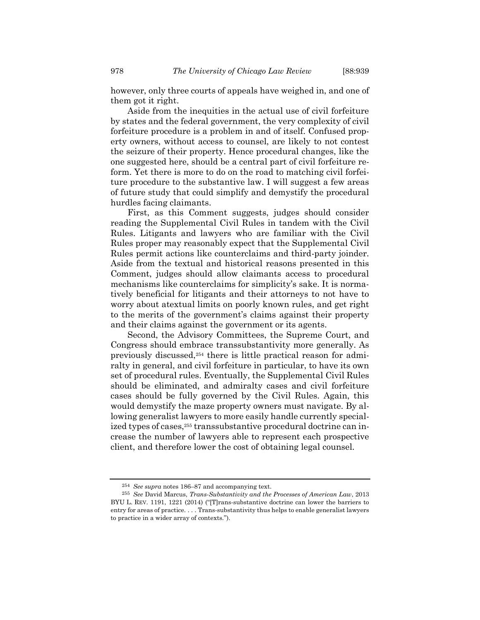however, only three courts of appeals have weighed in, and one of them got it right.

Aside from the inequities in the actual use of civil forfeiture by states and the federal government, the very complexity of civil forfeiture procedure is a problem in and of itself. Confused property owners, without access to counsel, are likely to not contest the seizure of their property. Hence procedural changes, like the one suggested here, should be a central part of civil forfeiture reform. Yet there is more to do on the road to matching civil forfeiture procedure to the substantive law. I will suggest a few areas of future study that could simplify and demystify the procedural hurdles facing claimants.

First, as this Comment suggests, judges should consider reading the Supplemental Civil Rules in tandem with the Civil Rules. Litigants and lawyers who are familiar with the Civil Rules proper may reasonably expect that the Supplemental Civil Rules permit actions like counterclaims and third-party joinder. Aside from the textual and historical reasons presented in this Comment, judges should allow claimants access to procedural mechanisms like counterclaims for simplicity's sake. It is normatively beneficial for litigants and their attorneys to not have to worry about atextual limits on poorly known rules, and get right to the merits of the government's claims against their property and their claims against the government or its agents.

Second, the Advisory Committees, the Supreme Court, and Congress should embrace transsubstantivity more generally. As previously discussed,<sup>254</sup> there is little practical reason for admiralty in general, and civil forfeiture in particular, to have its own set of procedural rules. Eventually, the Supplemental Civil Rules should be eliminated, and admiralty cases and civil forfeiture cases should be fully governed by the Civil Rules. Again, this would demystify the maze property owners must navigate. By allowing generalist lawyers to more easily handle currently specialized types of cases,<sup>255</sup> transsubstantive procedural doctrine can increase the number of lawyers able to represent each prospective client, and therefore lower the cost of obtaining legal counsel.

<sup>254</sup> *See supra* notes [186](#page-29-0)–87 and accompanying text.

<sup>255</sup> *See* David Marcus, *Trans-Substantivity and the Processes of American Law*, 2013 BYU L. REV. 1191, 1221 (2014) ("[T]rans-substantive doctrine can lower the barriers to entry for areas of practice. . . . Trans-substantivity thus helps to enable generalist lawyers to practice in a wider array of contexts.").